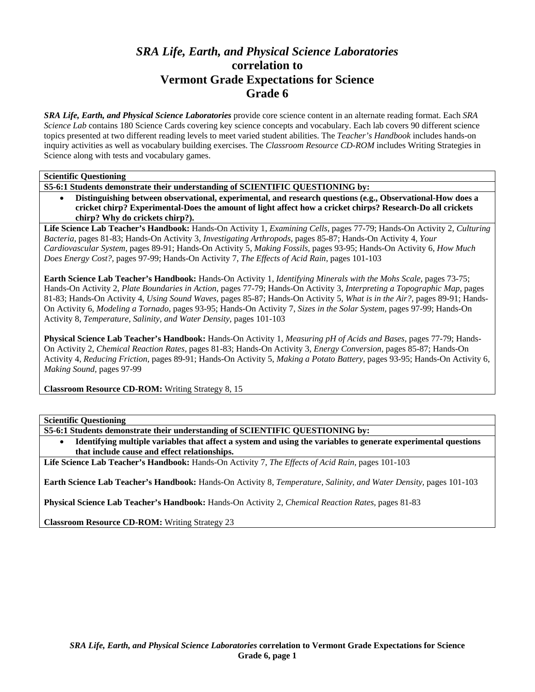# *SRA Life, Earth, and Physical Science Laboratories*  **correlation to Vermont Grade Expectations for Science Grade 6**

*SRA Life, Earth, and Physical Science Laboratories* provide core science content in an alternate reading format. Each *SRA Science Lab* contains 180 Science Cards covering key science concepts and vocabulary. Each lab covers 90 different science topics presented at two different reading levels to meet varied student abilities. The *Teacher's Handbook* includes hands-on inquiry activities as well as vocabulary building exercises. The *Classroom Resource CD-ROM* includes Writing Strategies in Science along with tests and vocabulary games.

**Scientific Questioning** 

**S5-6:1 Students demonstrate their understanding of SCIENTIFIC QUESTIONING by:** 

• **Distinguishing between observational, experimental, and research questions (e.g., Observational-How does a cricket chirp? Experimental-Does the amount of light affect how a cricket chirps? Research-Do all crickets chirp? Why do crickets chirp?).** 

**Life Science Lab Teacher's Handbook:** Hands-On Activity 1, *Examining Cells,* pages 77-79; Hands-On Activity 2, *Culturing Bacteria,* pages 81-83; Hands-On Activity 3, *Investigating Arthropods,* pages 85-87; Hands-On Activity 4, *Your Cardiovascular System,* pages 89-91; Hands-On Activity 5, *Making Fossils,* pages 93-95; Hands-On Activity 6, *How Much Does Energy Cost?,* pages 97-99; Hands-On Activity 7, *The Effects of Acid Rain,* pages 101-103

**Earth Science Lab Teacher's Handbook:** Hands-On Activity 1, *Identifying Minerals with the Mohs Scale,* pages 73-75; Hands-On Activity 2, *Plate Boundaries in Action,* pages 77-79; Hands-On Activity 3, *Interpreting a Topographic Map,* pages 81-83; Hands-On Activity 4, *Using Sound Waves,* pages 85-87; Hands-On Activity 5, *What is in the Air?,* pages 89-91; Hands-On Activity 6, *Modeling a Tornado,* pages 93-95; Hands-On Activity 7, *Sizes in the Solar System,* pages 97-99; Hands-On Activity 8, *Temperature, Salinity, and Water Density,* pages 101-103

**Physical Science Lab Teacher's Handbook:** Hands-On Activity 1, *Measuring pH of Acids and Bases,* pages 77-79; Hands-On Activity 2, *Chemical Reaction Rates,* pages 81-83; Hands-On Activity 3, *Energy Conversion,* pages 85-87; Hands-On Activity 4, *Reducing Friction,* pages 89-91; Hands-On Activity 5, *Making a Potato Battery,* pages 93-95; Hands-On Activity 6, *Making Sound,* pages 97-99

**Classroom Resource CD-ROM:** Writing Strategy 8, 15

**Scientific Questioning** 

- **S5-6:1 Students demonstrate their understanding of SCIENTIFIC QUESTIONING by:**
- **Identifying multiple variables that affect a system and using the variables to generate experimental questions that include cause and effect relationships.**

**Life Science Lab Teacher's Handbook:** Hands-On Activity 7, *The Effects of Acid Rain,* pages 101-103

**Earth Science Lab Teacher's Handbook:** Hands-On Activity 8, *Temperature, Salinity, and Water Density,* pages 101-103

**Physical Science Lab Teacher's Handbook:** Hands-On Activity 2, *Chemical Reaction Rates,* pages 81-83

**Classroom Resource CD-ROM:** Writing Strategy 23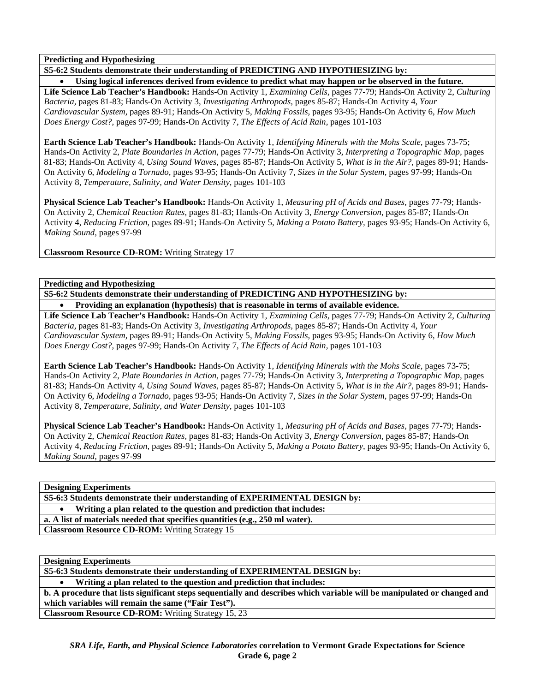**Predicting and Hypothesizing** 

# **S5-6:2 Students demonstrate their understanding of PREDICTING AND HYPOTHESIZING by:**

• **Using logical inferences derived from evidence to predict what may happen or be observed in the future. Life Science Lab Teacher's Handbook:** Hands-On Activity 1, *Examining Cells,* pages 77-79; Hands-On Activity 2, *Culturing Bacteria,* pages 81-83; Hands-On Activity 3, *Investigating Arthropods,* pages 85-87; Hands-On Activity 4, *Your Cardiovascular System,* pages 89-91; Hands-On Activity 5, *Making Fossils,* pages 93-95; Hands-On Activity 6, *How Much Does Energy Cost?,* pages 97-99; Hands-On Activity 7, *The Effects of Acid Rain,* pages 101-103

**Earth Science Lab Teacher's Handbook:** Hands-On Activity 1, *Identifying Minerals with the Mohs Scale,* pages 73-75; Hands-On Activity 2, *Plate Boundaries in Action,* pages 77-79; Hands-On Activity 3, *Interpreting a Topographic Map,* pages 81-83; Hands-On Activity 4, *Using Sound Waves,* pages 85-87; Hands-On Activity 5, *What is in the Air?,* pages 89-91; Hands-On Activity 6, *Modeling a Tornado,* pages 93-95; Hands-On Activity 7, *Sizes in the Solar System,* pages 97-99; Hands-On Activity 8, *Temperature, Salinity, and Water Density,* pages 101-103

**Physical Science Lab Teacher's Handbook:** Hands-On Activity 1, *Measuring pH of Acids and Bases,* pages 77-79; Hands-On Activity 2, *Chemical Reaction Rates,* pages 81-83; Hands-On Activity 3, *Energy Conversion,* pages 85-87; Hands-On Activity 4, *Reducing Friction,* pages 89-91; Hands-On Activity 5, *Making a Potato Battery,* pages 93-95; Hands-On Activity 6, *Making Sound,* pages 97-99

**Classroom Resource CD-ROM:** Writing Strategy 17

**Predicting and Hypothesizing** 

**S5-6:2 Students demonstrate their understanding of PREDICTING AND HYPOTHESIZING by:** 

• **Providing an explanation (hypothesis) that is reasonable in terms of available evidence.** 

**Life Science Lab Teacher's Handbook:** Hands-On Activity 1, *Examining Cells,* pages 77-79; Hands-On Activity 2, *Culturing Bacteria,* pages 81-83; Hands-On Activity 3, *Investigating Arthropods,* pages 85-87; Hands-On Activity 4, *Your Cardiovascular System,* pages 89-91; Hands-On Activity 5, *Making Fossils,* pages 93-95; Hands-On Activity 6, *How Much Does Energy Cost?,* pages 97-99; Hands-On Activity 7, *The Effects of Acid Rain,* pages 101-103

**Earth Science Lab Teacher's Handbook:** Hands-On Activity 1, *Identifying Minerals with the Mohs Scale,* pages 73-75; Hands-On Activity 2, *Plate Boundaries in Action,* pages 77-79; Hands-On Activity 3, *Interpreting a Topographic Map,* pages 81-83; Hands-On Activity 4, *Using Sound Waves,* pages 85-87; Hands-On Activity 5, *What is in the Air?,* pages 89-91; Hands-On Activity 6, *Modeling a Tornado,* pages 93-95; Hands-On Activity 7, *Sizes in the Solar System,* pages 97-99; Hands-On Activity 8, *Temperature, Salinity, and Water Density,* pages 101-103

**Physical Science Lab Teacher's Handbook:** Hands-On Activity 1, *Measuring pH of Acids and Bases,* pages 77-79; Hands-On Activity 2, *Chemical Reaction Rates,* pages 81-83; Hands-On Activity 3, *Energy Conversion,* pages 85-87; Hands-On Activity 4, *Reducing Friction,* pages 89-91; Hands-On Activity 5, *Making a Potato Battery,* pages 93-95; Hands-On Activity 6, *Making Sound,* pages 97-99

**Designing Experiments** 

**S5-6:3 Students demonstrate their understanding of EXPERIMENTAL DESIGN by:** 

• **Writing a plan related to the question and prediction that includes:** 

**a. A list of materials needed that specifies quantities (e.g., 250 ml water).** 

**Classroom Resource CD-ROM:** Writing Strategy 15

**Designing Experiments** 

**S5-6:3 Students demonstrate their understanding of EXPERIMENTAL DESIGN by:** 

• **Writing a plan related to the question and prediction that includes:** 

**b. A procedure that lists significant steps sequentially and describes which variable will be manipulated or changed and which variables will remain the same ("Fair Test").** 

**Classroom Resource CD-ROM:** Writing Strategy 15, 23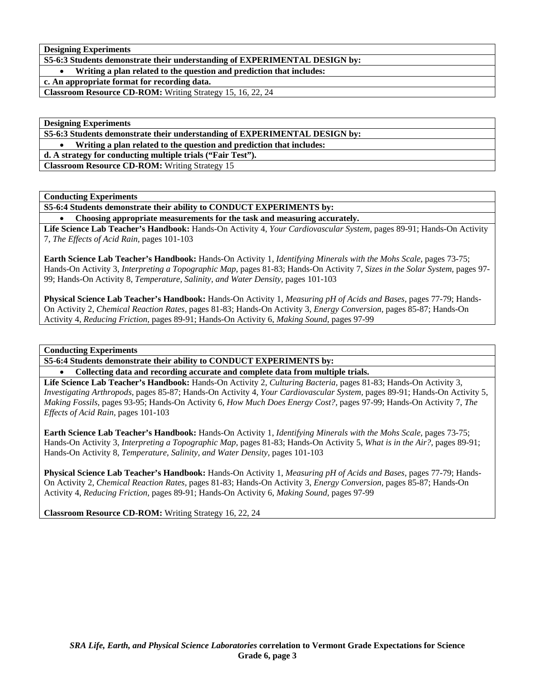**Designing Experiments** 

**S5-6:3 Students demonstrate their understanding of EXPERIMENTAL DESIGN by:** 

• **Writing a plan related to the question and prediction that includes:** 

**c. An appropriate format for recording data.** 

**Classroom Resource CD-ROM:** Writing Strategy 15, 16, 22, 24

**Designing Experiments** 

**S5-6:3 Students demonstrate their understanding of EXPERIMENTAL DESIGN by:** 

• **Writing a plan related to the question and prediction that includes:** 

**d. A strategy for conducting multiple trials ("Fair Test").** 

**Classroom Resource CD-ROM:** Writing Strategy 15

**Conducting Experiments** 

**S5-6:4 Students demonstrate their ability to CONDUCT EXPERIMENTS by:** 

• **Choosing appropriate measurements for the task and measuring accurately.** 

**Life Science Lab Teacher's Handbook:** Hands-On Activity 4, *Your Cardiovascular System,* pages 89-91; Hands-On Activity 7, *The Effects of Acid Rain,* pages 101-103

**Earth Science Lab Teacher's Handbook:** Hands-On Activity 1, *Identifying Minerals with the Mohs Scale,* pages 73-75; Hands-On Activity 3, *Interpreting a Topographic Map,* pages 81-83; Hands-On Activity 7, *Sizes in the Solar System,* pages 97- 99; Hands-On Activity 8, *Temperature, Salinity, and Water Density,* pages 101-103

**Physical Science Lab Teacher's Handbook:** Hands-On Activity 1, *Measuring pH of Acids and Bases,* pages 77-79; Hands-On Activity 2, *Chemical Reaction Rates,* pages 81-83; Hands-On Activity 3, *Energy Conversion,* pages 85-87; Hands-On Activity 4, *Reducing Friction,* pages 89-91; Hands-On Activity 6, *Making Sound,* pages 97-99

## **Conducting Experiments**

**S5-6:4 Students demonstrate their ability to CONDUCT EXPERIMENTS by:** 

• **Collecting data and recording accurate and complete data from multiple trials.** 

**Life Science Lab Teacher's Handbook:** Hands-On Activity 2, *Culturing Bacteria,* pages 81-83; Hands-On Activity 3, *Investigating Arthropods,* pages 85-87; Hands-On Activity 4, *Your Cardiovascular System,* pages 89-91; Hands-On Activity 5, *Making Fossils,* pages 93-95; Hands-On Activity 6, *How Much Does Energy Cost?,* pages 97-99; Hands-On Activity 7, *The Effects of Acid Rain,* pages 101-103

**Earth Science Lab Teacher's Handbook:** Hands-On Activity 1, *Identifying Minerals with the Mohs Scale,* pages 73-75; Hands-On Activity 3, *Interpreting a Topographic Map,* pages 81-83; Hands-On Activity 5, *What is in the Air?,* pages 89-91; Hands-On Activity 8, *Temperature, Salinity, and Water Density,* pages 101-103

**Physical Science Lab Teacher's Handbook:** Hands-On Activity 1, *Measuring pH of Acids and Bases,* pages 77-79; Hands-On Activity 2, *Chemical Reaction Rates,* pages 81-83; Hands-On Activity 3, *Energy Conversion,* pages 85-87; Hands-On Activity 4, *Reducing Friction,* pages 89-91; Hands-On Activity 6, *Making Sound,* pages 97-99

**Classroom Resource CD-ROM:** Writing Strategy 16, 22, 24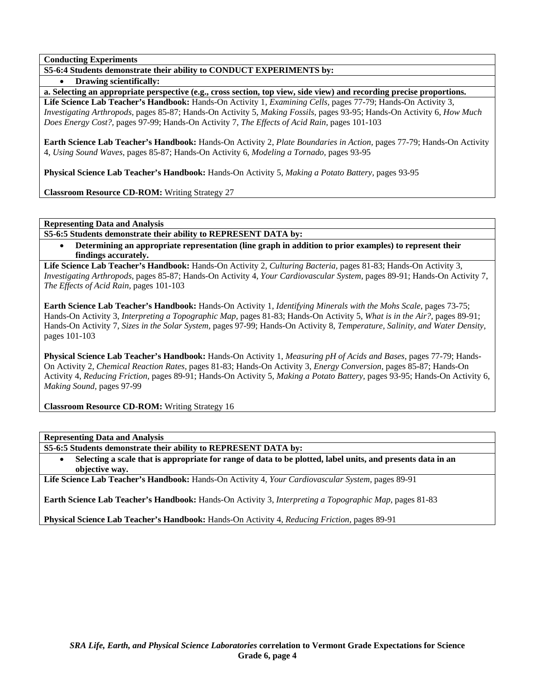**Conducting Experiments** 

# **S5-6:4 Students demonstrate their ability to CONDUCT EXPERIMENTS by:**

• **Drawing scientifically:** 

**a. Selecting an appropriate perspective (e.g., cross section, top view, side view) and recording precise proportions. Life Science Lab Teacher's Handbook:** Hands-On Activity 1, *Examining Cells,* pages 77-79; Hands-On Activity 3, *Investigating Arthropods,* pages 85-87; Hands-On Activity 5, *Making Fossils,* pages 93-95; Hands-On Activity 6, *How Much Does Energy Cost?,* pages 97-99; Hands-On Activity 7, *The Effects of Acid Rain,* pages 101-103

**Earth Science Lab Teacher's Handbook:** Hands-On Activity 2, *Plate Boundaries in Action,* pages 77-79; Hands-On Activity 4, *Using Sound Waves,* pages 85-87; Hands-On Activity 6, *Modeling a Tornado,* pages 93-95

**Physical Science Lab Teacher's Handbook:** Hands-On Activity 5, *Making a Potato Battery,* pages 93-95

**Classroom Resource CD-ROM:** Writing Strategy 27

**Representing Data and Analysis** 

**S5-6:5 Students demonstrate their ability to REPRESENT DATA by:** 

• **Determining an appropriate representation (line graph in addition to prior examples) to represent their findings accurately.** 

**Life Science Lab Teacher's Handbook:** Hands-On Activity 2, *Culturing Bacteria,* pages 81-83; Hands-On Activity 3, *Investigating Arthropods,* pages 85-87; Hands-On Activity 4, *Your Cardiovascular System,* pages 89-91; Hands-On Activity 7, *The Effects of Acid Rain,* pages 101-103

**Earth Science Lab Teacher's Handbook:** Hands-On Activity 1, *Identifying Minerals with the Mohs Scale,* pages 73-75; Hands-On Activity 3, *Interpreting a Topographic Map,* pages 81-83; Hands-On Activity 5, *What is in the Air?,* pages 89-91; Hands-On Activity 7, *Sizes in the Solar System,* pages 97-99; Hands-On Activity 8, *Temperature, Salinity, and Water Density,* pages 101-103

**Physical Science Lab Teacher's Handbook:** Hands-On Activity 1, *Measuring pH of Acids and Bases,* pages 77-79; Hands-On Activity 2, *Chemical Reaction Rates,* pages 81-83; Hands-On Activity 3, *Energy Conversion,* pages 85-87; Hands-On Activity 4, *Reducing Friction,* pages 89-91; Hands-On Activity 5, *Making a Potato Battery,* pages 93-95; Hands-On Activity 6, *Making Sound,* pages 97-99

**Classroom Resource CD-ROM:** Writing Strategy 16

**Representing Data and Analysis** 

**S5-6:5 Students demonstrate their ability to REPRESENT DATA by:** 

• **Selecting a scale that is appropriate for range of data to be plotted, label units, and presents data in an objective way.** 

**Life Science Lab Teacher's Handbook:** Hands-On Activity 4, *Your Cardiovascular System,* pages 89-91

**Earth Science Lab Teacher's Handbook:** Hands-On Activity 3, *Interpreting a Topographic Map,* pages 81-83

**Physical Science Lab Teacher's Handbook:** Hands-On Activity 4, *Reducing Friction,* pages 89-91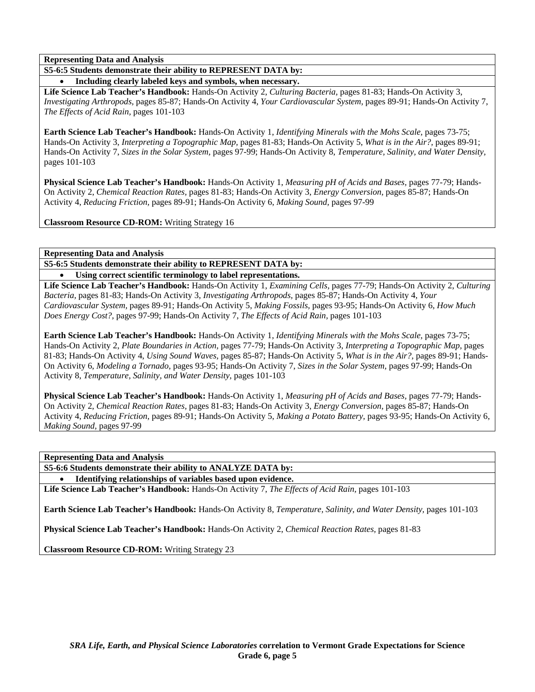**S5-6:5 Students demonstrate their ability to REPRESENT DATA by:** 

• **Including clearly labeled keys and symbols, when necessary.** 

**Life Science Lab Teacher's Handbook:** Hands-On Activity 2, *Culturing Bacteria,* pages 81-83; Hands-On Activity 3, *Investigating Arthropods,* pages 85-87; Hands-On Activity 4, *Your Cardiovascular System,* pages 89-91; Hands-On Activity 7, *The Effects of Acid Rain,* pages 101-103

**Earth Science Lab Teacher's Handbook:** Hands-On Activity 1, *Identifying Minerals with the Mohs Scale,* pages 73-75; Hands-On Activity 3, *Interpreting a Topographic Map,* pages 81-83; Hands-On Activity 5, *What is in the Air?,* pages 89-91; Hands-On Activity 7, *Sizes in the Solar System,* pages 97-99; Hands-On Activity 8, *Temperature, Salinity, and Water Density,* pages 101-103

**Physical Science Lab Teacher's Handbook:** Hands-On Activity 1, *Measuring pH of Acids and Bases,* pages 77-79; Hands-On Activity 2, *Chemical Reaction Rates,* pages 81-83; Hands-On Activity 3, *Energy Conversion,* pages 85-87; Hands-On Activity 4, *Reducing Friction,* pages 89-91; Hands-On Activity 6, *Making Sound,* pages 97-99

**Classroom Resource CD-ROM:** Writing Strategy 16

**Representing Data and Analysis** 

**S5-6:5 Students demonstrate their ability to REPRESENT DATA by:** 

Using correct scientific terminology to label representations.

**Life Science Lab Teacher's Handbook:** Hands-On Activity 1, *Examining Cells,* pages 77-79; Hands-On Activity 2, *Culturing Bacteria,* pages 81-83; Hands-On Activity 3, *Investigating Arthropods,* pages 85-87; Hands-On Activity 4, *Your Cardiovascular System,* pages 89-91; Hands-On Activity 5, *Making Fossils,* pages 93-95; Hands-On Activity 6, *How Much Does Energy Cost?,* pages 97-99; Hands-On Activity 7, *The Effects of Acid Rain,* pages 101-103

**Earth Science Lab Teacher's Handbook:** Hands-On Activity 1, *Identifying Minerals with the Mohs Scale,* pages 73-75; Hands-On Activity 2, *Plate Boundaries in Action,* pages 77-79; Hands-On Activity 3, *Interpreting a Topographic Map,* pages 81-83; Hands-On Activity 4, *Using Sound Waves,* pages 85-87; Hands-On Activity 5, *What is in the Air?,* pages 89-91; Hands-On Activity 6, *Modeling a Tornado,* pages 93-95; Hands-On Activity 7, *Sizes in the Solar System,* pages 97-99; Hands-On Activity 8, *Temperature, Salinity, and Water Density,* pages 101-103

**Physical Science Lab Teacher's Handbook:** Hands-On Activity 1, *Measuring pH of Acids and Bases,* pages 77-79; Hands-On Activity 2, *Chemical Reaction Rates,* pages 81-83; Hands-On Activity 3, *Energy Conversion,* pages 85-87; Hands-On Activity 4, *Reducing Friction,* pages 89-91; Hands-On Activity 5, *Making a Potato Battery,* pages 93-95; Hands-On Activity 6, *Making Sound,* pages 97-99

**Representing Data and Analysis** 

**S5-6:6 Students demonstrate their ability to ANALYZE DATA by:** 

• **Identifying relationships of variables based upon evidence.** 

**Life Science Lab Teacher's Handbook:** Hands-On Activity 7, *The Effects of Acid Rain,* pages 101-103

**Earth Science Lab Teacher's Handbook:** Hands-On Activity 8, *Temperature, Salinity, and Water Density,* pages 101-103

**Physical Science Lab Teacher's Handbook:** Hands-On Activity 2, *Chemical Reaction Rates,* pages 81-83

**Classroom Resource CD-ROM:** Writing Strategy 23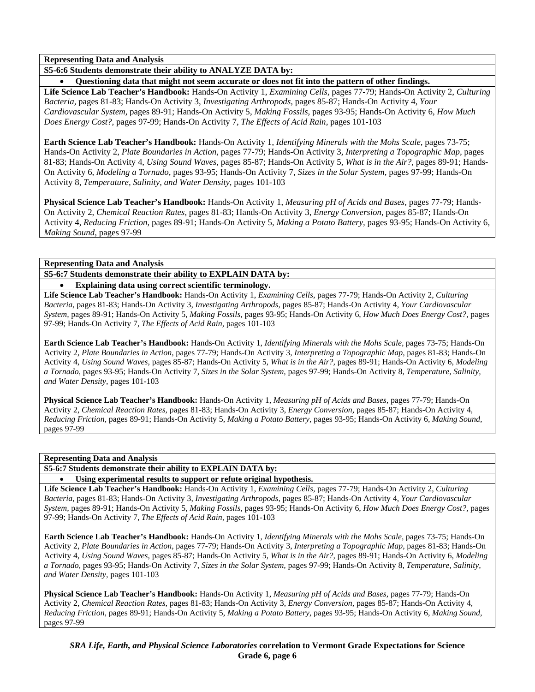**S5-6:6 Students demonstrate their ability to ANALYZE DATA by:** 

• **Questioning data that might not seem accurate or does not fit into the pattern of other findings.** 

**Life Science Lab Teacher's Handbook:** Hands-On Activity 1, *Examining Cells,* pages 77-79; Hands-On Activity 2, *Culturing Bacteria,* pages 81-83; Hands-On Activity 3, *Investigating Arthropods,* pages 85-87; Hands-On Activity 4, *Your Cardiovascular System,* pages 89-91; Hands-On Activity 5, *Making Fossils,* pages 93-95; Hands-On Activity 6, *How Much Does Energy Cost?,* pages 97-99; Hands-On Activity 7, *The Effects of Acid Rain,* pages 101-103

**Earth Science Lab Teacher's Handbook:** Hands-On Activity 1, *Identifying Minerals with the Mohs Scale,* pages 73-75; Hands-On Activity 2, *Plate Boundaries in Action,* pages 77-79; Hands-On Activity 3, *Interpreting a Topographic Map,* pages 81-83; Hands-On Activity 4, *Using Sound Waves,* pages 85-87; Hands-On Activity 5, *What is in the Air?,* pages 89-91; Hands-On Activity 6, *Modeling a Tornado,* pages 93-95; Hands-On Activity 7, *Sizes in the Solar System,* pages 97-99; Hands-On Activity 8, *Temperature, Salinity, and Water Density,* pages 101-103

**Physical Science Lab Teacher's Handbook:** Hands-On Activity 1, *Measuring pH of Acids and Bases,* pages 77-79; Hands-On Activity 2, *Chemical Reaction Rates,* pages 81-83; Hands-On Activity 3, *Energy Conversion,* pages 85-87; Hands-On Activity 4, *Reducing Friction,* pages 89-91; Hands-On Activity 5, *Making a Potato Battery,* pages 93-95; Hands-On Activity 6, *Making Sound,* pages 97-99

**Representing Data and Analysis** 

**S5-6:7 Students demonstrate their ability to EXPLAIN DATA by:** 

• **Explaining data using correct scientific terminology.** 

**Life Science Lab Teacher's Handbook:** Hands-On Activity 1, *Examining Cells,* pages 77-79; Hands-On Activity 2, *Culturing Bacteria,* pages 81-83; Hands-On Activity 3, *Investigating Arthropods,* pages 85-87; Hands-On Activity 4, *Your Cardiovascular System,* pages 89-91; Hands-On Activity 5, *Making Fossils,* pages 93-95; Hands-On Activity 6, *How Much Does Energy Cost?,* pages 97-99; Hands-On Activity 7, *The Effects of Acid Rain,* pages 101-103

**Earth Science Lab Teacher's Handbook:** Hands-On Activity 1, *Identifying Minerals with the Mohs Scale,* pages 73-75; Hands-On Activity 2, *Plate Boundaries in Action,* pages 77-79; Hands-On Activity 3, *Interpreting a Topographic Map,* pages 81-83; Hands-On Activity 4, *Using Sound Waves,* pages 85-87; Hands-On Activity 5, *What is in the Air?,* pages 89-91; Hands-On Activity 6, *Modeling a Tornado,* pages 93-95; Hands-On Activity 7, *Sizes in the Solar System,* pages 97-99; Hands-On Activity 8, *Temperature, Salinity, and Water Density,* pages 101-103

**Physical Science Lab Teacher's Handbook:** Hands-On Activity 1, *Measuring pH of Acids and Bases,* pages 77-79; Hands-On Activity 2, *Chemical Reaction Rates,* pages 81-83; Hands-On Activity 3, *Energy Conversion,* pages 85-87; Hands-On Activity 4, *Reducing Friction,* pages 89-91; Hands-On Activity 5, *Making a Potato Battery,* pages 93-95; Hands-On Activity 6, *Making Sound,* pages 97-99

## **Representing Data and Analysis**

**S5-6:7 Students demonstrate their ability to EXPLAIN DATA by:** 

• **Using experimental results to support or refute original hypothesis.** 

**Life Science Lab Teacher's Handbook:** Hands-On Activity 1, *Examining Cells,* pages 77-79; Hands-On Activity 2, *Culturing Bacteria,* pages 81-83; Hands-On Activity 3, *Investigating Arthropods,* pages 85-87; Hands-On Activity 4, *Your Cardiovascular System,* pages 89-91; Hands-On Activity 5, *Making Fossils,* pages 93-95; Hands-On Activity 6, *How Much Does Energy Cost?,* pages 97-99; Hands-On Activity 7, *The Effects of Acid Rain,* pages 101-103

**Earth Science Lab Teacher's Handbook:** Hands-On Activity 1, *Identifying Minerals with the Mohs Scale,* pages 73-75; Hands-On Activity 2, *Plate Boundaries in Action,* pages 77-79; Hands-On Activity 3, *Interpreting a Topographic Map,* pages 81-83; Hands-On Activity 4, *Using Sound Waves,* pages 85-87; Hands-On Activity 5, *What is in the Air?,* pages 89-91; Hands-On Activity 6, *Modeling a Tornado,* pages 93-95; Hands-On Activity 7, *Sizes in the Solar System,* pages 97-99; Hands-On Activity 8, *Temperature, Salinity, and Water Density,* pages 101-103

**Physical Science Lab Teacher's Handbook:** Hands-On Activity 1, *Measuring pH of Acids and Bases,* pages 77-79; Hands-On Activity 2, *Chemical Reaction Rates,* pages 81-83; Hands-On Activity 3, *Energy Conversion,* pages 85-87; Hands-On Activity 4, *Reducing Friction,* pages 89-91; Hands-On Activity 5, *Making a Potato Battery,* pages 93-95; Hands-On Activity 6, *Making Sound,* pages 97-99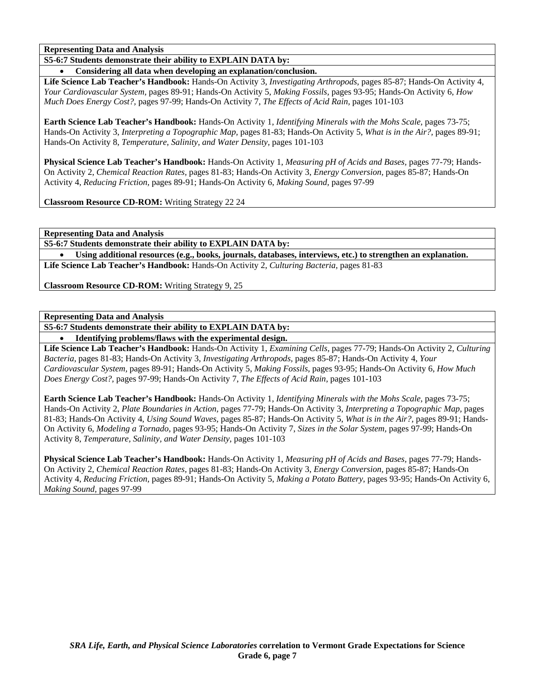**S5-6:7 Students demonstrate their ability to EXPLAIN DATA by:** 

• **Considering all data when developing an explanation/conclusion.** 

**Life Science Lab Teacher's Handbook:** Hands-On Activity 3, *Investigating Arthropods,* pages 85-87; Hands-On Activity 4, *Your Cardiovascular System,* pages 89-91; Hands-On Activity 5, *Making Fossils,* pages 93-95; Hands-On Activity 6, *How Much Does Energy Cost?,* pages 97-99; Hands-On Activity 7, *The Effects of Acid Rain,* pages 101-103

**Earth Science Lab Teacher's Handbook:** Hands-On Activity 1, *Identifying Minerals with the Mohs Scale,* pages 73-75; Hands-On Activity 3, *Interpreting a Topographic Map,* pages 81-83; Hands-On Activity 5, *What is in the Air?,* pages 89-91; Hands-On Activity 8, *Temperature, Salinity, and Water Density,* pages 101-103

**Physical Science Lab Teacher's Handbook:** Hands-On Activity 1, *Measuring pH of Acids and Bases,* pages 77-79; Hands-On Activity 2, *Chemical Reaction Rates,* pages 81-83; Hands-On Activity 3, *Energy Conversion,* pages 85-87; Hands-On Activity 4, *Reducing Friction,* pages 89-91; Hands-On Activity 6, *Making Sound,* pages 97-99

**Classroom Resource CD-ROM:** Writing Strategy 22 24

**Representing Data and Analysis** 

**S5-6:7 Students demonstrate their ability to EXPLAIN DATA by:** 

• **Using additional resources (e.g., books, journals, databases, interviews, etc.) to strengthen an explanation. Life Science Lab Teacher's Handbook:** Hands-On Activity 2, *Culturing Bacteria,* pages 81-83

**Classroom Resource CD-ROM:** Writing Strategy 9, 25

**Representing Data and Analysis** 

**S5-6:7 Students demonstrate their ability to EXPLAIN DATA by:** 

• **Identifying problems/flaws with the experimental design.** 

**Life Science Lab Teacher's Handbook:** Hands-On Activity 1, *Examining Cells,* pages 77-79; Hands-On Activity 2, *Culturing Bacteria,* pages 81-83; Hands-On Activity 3, *Investigating Arthropods,* pages 85-87; Hands-On Activity 4, *Your Cardiovascular System,* pages 89-91; Hands-On Activity 5, *Making Fossils,* pages 93-95; Hands-On Activity 6, *How Much Does Energy Cost?,* pages 97-99; Hands-On Activity 7, *The Effects of Acid Rain,* pages 101-103

**Earth Science Lab Teacher's Handbook:** Hands-On Activity 1, *Identifying Minerals with the Mohs Scale,* pages 73-75; Hands-On Activity 2, *Plate Boundaries in Action,* pages 77-79; Hands-On Activity 3, *Interpreting a Topographic Map,* pages 81-83; Hands-On Activity 4, *Using Sound Waves,* pages 85-87; Hands-On Activity 5, *What is in the Air?,* pages 89-91; Hands-On Activity 6, *Modeling a Tornado,* pages 93-95; Hands-On Activity 7, *Sizes in the Solar System,* pages 97-99; Hands-On Activity 8, *Temperature, Salinity, and Water Density,* pages 101-103

**Physical Science Lab Teacher's Handbook:** Hands-On Activity 1, *Measuring pH of Acids and Bases,* pages 77-79; Hands-On Activity 2, *Chemical Reaction Rates,* pages 81-83; Hands-On Activity 3, *Energy Conversion,* pages 85-87; Hands-On Activity 4, *Reducing Friction,* pages 89-91; Hands-On Activity 5, *Making a Potato Battery,* pages 93-95; Hands-On Activity 6, *Making Sound,* pages 97-99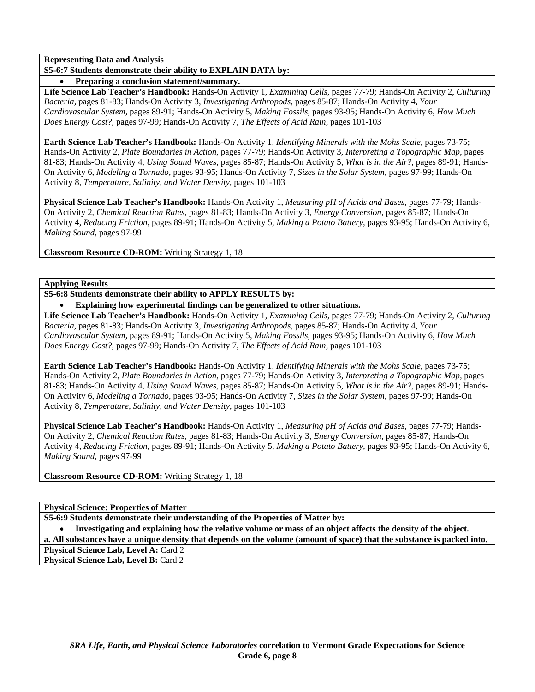**S5-6:7 Students demonstrate their ability to EXPLAIN DATA by:** 

• **Preparing a conclusion statement/summary.** 

**Life Science Lab Teacher's Handbook:** Hands-On Activity 1, *Examining Cells,* pages 77-79; Hands-On Activity 2, *Culturing Bacteria,* pages 81-83; Hands-On Activity 3, *Investigating Arthropods,* pages 85-87; Hands-On Activity 4, *Your Cardiovascular System,* pages 89-91; Hands-On Activity 5, *Making Fossils,* pages 93-95; Hands-On Activity 6, *How Much Does Energy Cost?,* pages 97-99; Hands-On Activity 7, *The Effects of Acid Rain,* pages 101-103

**Earth Science Lab Teacher's Handbook:** Hands-On Activity 1, *Identifying Minerals with the Mohs Scale,* pages 73-75; Hands-On Activity 2, *Plate Boundaries in Action,* pages 77-79; Hands-On Activity 3, *Interpreting a Topographic Map,* pages 81-83; Hands-On Activity 4, *Using Sound Waves,* pages 85-87; Hands-On Activity 5, *What is in the Air?,* pages 89-91; Hands-On Activity 6, *Modeling a Tornado,* pages 93-95; Hands-On Activity 7, *Sizes in the Solar System,* pages 97-99; Hands-On Activity 8, *Temperature, Salinity, and Water Density,* pages 101-103

**Physical Science Lab Teacher's Handbook:** Hands-On Activity 1, *Measuring pH of Acids and Bases,* pages 77-79; Hands-On Activity 2, *Chemical Reaction Rates,* pages 81-83; Hands-On Activity 3, *Energy Conversion,* pages 85-87; Hands-On Activity 4, *Reducing Friction,* pages 89-91; Hands-On Activity 5, *Making a Potato Battery,* pages 93-95; Hands-On Activity 6, *Making Sound,* pages 97-99

**Classroom Resource CD-ROM:** Writing Strategy 1, 18

**Applying Results** 

**S5-6:8 Students demonstrate their ability to APPLY RESULTS by:** 

• **Explaining how experimental findings can be generalized to other situations.** 

**Life Science Lab Teacher's Handbook:** Hands-On Activity 1, *Examining Cells,* pages 77-79; Hands-On Activity 2, *Culturing Bacteria,* pages 81-83; Hands-On Activity 3, *Investigating Arthropods,* pages 85-87; Hands-On Activity 4, *Your Cardiovascular System,* pages 89-91; Hands-On Activity 5, *Making Fossils,* pages 93-95; Hands-On Activity 6, *How Much Does Energy Cost?,* pages 97-99; Hands-On Activity 7, *The Effects of Acid Rain,* pages 101-103

**Earth Science Lab Teacher's Handbook:** Hands-On Activity 1, *Identifying Minerals with the Mohs Scale,* pages 73-75; Hands-On Activity 2, *Plate Boundaries in Action,* pages 77-79; Hands-On Activity 3, *Interpreting a Topographic Map,* pages 81-83; Hands-On Activity 4, *Using Sound Waves,* pages 85-87; Hands-On Activity 5, *What is in the Air?,* pages 89-91; Hands-On Activity 6, *Modeling a Tornado,* pages 93-95; Hands-On Activity 7, *Sizes in the Solar System,* pages 97-99; Hands-On Activity 8, *Temperature, Salinity, and Water Density,* pages 101-103

**Physical Science Lab Teacher's Handbook:** Hands-On Activity 1, *Measuring pH of Acids and Bases,* pages 77-79; Hands-On Activity 2, *Chemical Reaction Rates,* pages 81-83; Hands-On Activity 3, *Energy Conversion,* pages 85-87; Hands-On Activity 4, *Reducing Friction,* pages 89-91; Hands-On Activity 5, *Making a Potato Battery,* pages 93-95; Hands-On Activity 6, *Making Sound,* pages 97-99

**Classroom Resource CD-ROM:** Writing Strategy 1, 18

**Physical Science: Properties of Matter** 

**S5-6:9 Students demonstrate their understanding of the Properties of Matter by:** 

• **Investigating and explaining how the relative volume or mass of an object affects the density of the object. a. All substances have a unique density that depends on the volume (amount of space) that the substance is packed into.** 

Physical Science Lab, Level A: Card 2 **Physical Science Lab, Level B: Card 2**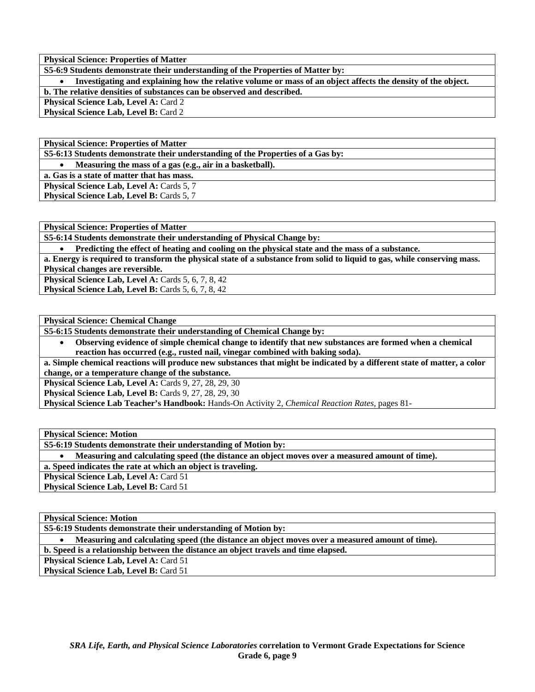**S5-6:9 Students demonstrate their understanding of the Properties of Matter by:** 

• **Investigating and explaining how the relative volume or mass of an object affects the density of the object. b. The relative densities of substances can be observed and described.** 

**Physical Science Lab, Level A: Card 2** 

**Physical Science Lab, Level B: Card 2** 

**Physical Science: Properties of Matter** 

**S5-6:13 Students demonstrate their understanding of the Properties of a Gas by:** 

• **Measuring the mass of a gas (e.g., air in a basketball).** 

**a. Gas is a state of matter that has mass.** 

**Physical Science Lab, Level A: Cards 5, 7 Physical Science Lab, Level B: Cards 5, 7** 

**Physical Science: Properties of Matter** 

**S5-6:14 Students demonstrate their understanding of Physical Change by:** 

• **Predicting the effect of heating and cooling on the physical state and the mass of a substance.** 

**a. Energy is required to transform the physical state of a substance from solid to liquid to gas, while conserving mass. Physical changes are reversible.** 

**Physical Science Lab, Level A: Cards 5, 6, 7, 8, 42** 

**Physical Science Lab, Level B: Cards 5, 6, 7, 8, 42** 

**Physical Science: Chemical Change** 

**S5-6:15 Students demonstrate their understanding of Chemical Change by:** 

• **Observing evidence of simple chemical change to identify that new substances are formed when a chemical reaction has occurred (e.g., rusted nail, vinegar combined with baking soda).** 

**a. Simple chemical reactions will produce new substances that might be indicated by a different state of matter, a color change, or a temperature change of the substance.** 

**Physical Science Lab, Level A: Cards 9, 27, 28, 29, 30** 

**Physical Science Lab, Level B: Cards 9, 27, 28, 29, 30** 

**Physical Science Lab Teacher's Handbook:** Hands-On Activity 2, *Chemical Reaction Rates,* pages 81-

**Physical Science: Motion** 

**S5-6:19 Students demonstrate their understanding of Motion by:** 

• **Measuring and calculating speed (the distance an object moves over a measured amount of time).** 

**a. Speed indicates the rate at which an object is traveling.** 

**Physical Science Lab, Level A: Card 51** 

**Physical Science Lab, Level B: Card 51** 

**Physical Science: Motion** 

**S5-6:19 Students demonstrate their understanding of Motion by:** 

• **Measuring and calculating speed (the distance an object moves over a measured amount of time).** 

**b. Speed is a relationship between the distance an object travels and time elapsed.** 

**Physical Science Lab, Level A: Card 51** 

**Physical Science Lab, Level B: Card 51**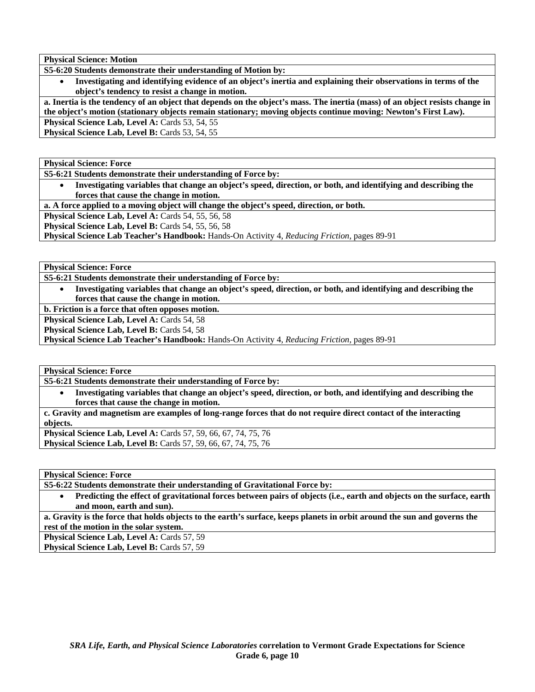**Physical Science: Motion** 

**S5-6:20 Students demonstrate their understanding of Motion by:** 

• **Investigating and identifying evidence of an object's inertia and explaining their observations in terms of the object's tendency to resist a change in motion.** 

**a. Inertia is the tendency of an object that depends on the object's mass. The inertia (mass) of an object resists change in the object's motion (stationary objects remain stationary; moving objects continue moving: Newton's First Law). Physical Science Lab, Level A: Cards 53, 54, 55** 

Physical Science Lab, Level B: Cards 53, 54, 55

**Physical Science: Force** 

**S5-6:21 Students demonstrate their understanding of Force by:** 

• **Investigating variables that change an object's speed, direction, or both, and identifying and describing the forces that cause the change in motion.** 

**a. A force applied to a moving object will change the object's speed, direction, or both.** 

**Physical Science Lab, Level A: Cards 54, 55, 56, 58** 

**Physical Science Lab, Level B: Cards 54, 55, 56, 58** 

**Physical Science Lab Teacher's Handbook:** Hands-On Activity 4, *Reducing Friction,* pages 89-91

**Physical Science: Force** 

**S5-6:21 Students demonstrate their understanding of Force by:** 

• **Investigating variables that change an object's speed, direction, or both, and identifying and describing the forces that cause the change in motion.** 

**b. Friction is a force that often opposes motion.** 

Physical Science Lab, Level A: Cards 54, 58

**Physical Science Lab, Level B: Cards 54, 58** 

**Physical Science Lab Teacher's Handbook:** Hands-On Activity 4, *Reducing Friction,* pages 89-91

**Physical Science: Force** 

**S5-6:21 Students demonstrate their understanding of Force by:** 

• **Investigating variables that change an object's speed, direction, or both, and identifying and describing the forces that cause the change in motion.** 

**c. Gravity and magnetism are examples of long-range forces that do not require direct contact of the interacting objects.** 

**Physical Science Lab, Level A:** Cards 57, 59, 66, 67, 74, 75, 76 **Physical Science Lab, Level B:** Cards 57, 59, 66, 67, 74, 75, 76

**Physical Science: Force** 

**S5-6:22 Students demonstrate their understanding of Gravitational Force by:** 

• **Predicting the effect of gravitational forces between pairs of objects (i.e., earth and objects on the surface, earth and moon, earth and sun).** 

**a. Gravity is the force that holds objects to the earth's surface, keeps planets in orbit around the sun and governs the rest of the motion in the solar system.** 

Physical Science Lab, Level A: Cards 57, 59

**Physical Science Lab, Level B: Cards 57, 59**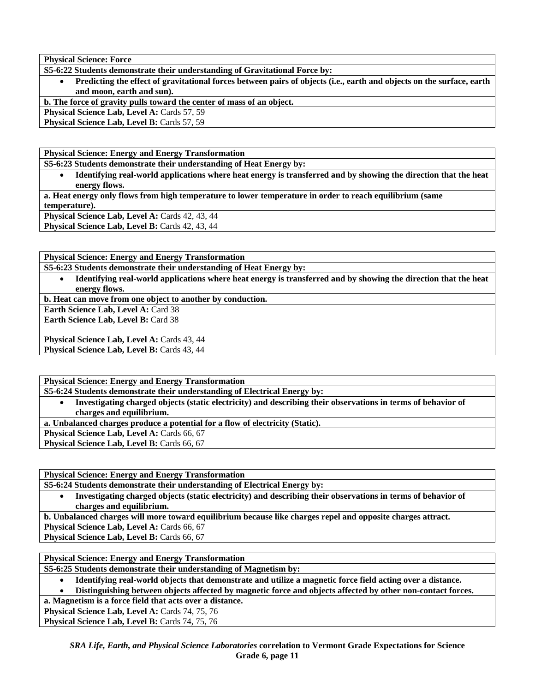**Physical Science: Force** 

**S5-6:22 Students demonstrate their understanding of Gravitational Force by:** 

• **Predicting the effect of gravitational forces between pairs of objects (i.e., earth and objects on the surface, earth and moon, earth and sun).** 

**b. The force of gravity pulls toward the center of mass of an object.** 

**Physical Science Lab, Level A: Cards 57, 59** 

Physical Science Lab, Level B: Cards 57, 59

**Physical Science: Energy and Energy Transformation** 

**S5-6:23 Students demonstrate their understanding of Heat Energy by:** 

• **Identifying real-world applications where heat energy is transferred and by showing the direction that the heat energy flows.** 

**a. Heat energy only flows from high temperature to lower temperature in order to reach equilibrium (same temperature).** 

Physical Science Lab, Level A: Cards 42, 43, 44 **Physical Science Lab, Level B: Cards 42, 43, 44** 

**Physical Science: Energy and Energy Transformation S5-6:23 Students demonstrate their understanding of Heat Energy by:** 

• **Identifying real-world applications where heat energy is transferred and by showing the direction that the heat energy flows.** 

**b. Heat can move from one object to another by conduction.** 

**Earth Science Lab, Level A: Card 38** 

**Earth Science Lab, Level B: Card 38** 

**Physical Science Lab, Level A: Cards 43, 44 Physical Science Lab, Level B: Cards 43, 44** 

**Physical Science: Energy and Energy Transformation** 

**S5-6:24 Students demonstrate their understanding of Electrical Energy by:** 

• **Investigating charged objects (static electricity) and describing their observations in terms of behavior of charges and equilibrium.** 

**a. Unbalanced charges produce a potential for a flow of electricity (Static).** 

Physical Science Lab, Level A: Cards 66, 67

**Physical Science Lab, Level B: Cards 66, 67** 

**Physical Science: Energy and Energy Transformation** 

**S5-6:24 Students demonstrate their understanding of Electrical Energy by:** 

• **Investigating charged objects (static electricity) and describing their observations in terms of behavior of charges and equilibrium.** 

**b. Unbalanced charges will more toward equilibrium because like charges repel and opposite charges attract.** 

Physical Science Lab, Level A: Cards 66, 67

**Physical Science Lab, Level B: Cards 66, 67** 

**Physical Science: Energy and Energy Transformation** 

**S5-6:25 Students demonstrate their understanding of Magnetism by:** 

• **Identifying real-world objects that demonstrate and utilize a magnetic force field acting over a distance.** 

• **Distinguishing between objects affected by magnetic force and objects affected by other non-contact forces.** 

**a. Magnetism is a force field that acts over a distance.** 

Physical Science Lab, Level A: Cards 74, 75, 76

Physical Science Lab, Level B: Cards 74, 75, 76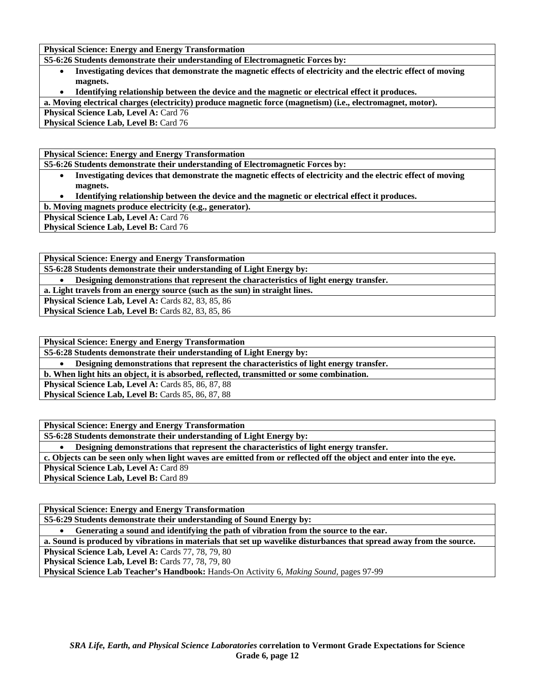**Physical Science: Energy and Energy Transformation** 

**S5-6:26 Students demonstrate their understanding of Electromagnetic Forces by:** 

- **Investigating devices that demonstrate the magnetic effects of electricity and the electric effect of moving magnets.**
- **Identifying relationship between the device and the magnetic or electrical effect it produces.**

**a. Moving electrical charges (electricity) produce magnetic force (magnetism) (i.e., electromagnet, motor).** 

**Physical Science Lab, Level A: Card 76** 

**Physical Science Lab, Level B: Card 76** 

**Physical Science: Energy and Energy Transformation** 

**S5-6:26 Students demonstrate their understanding of Electromagnetic Forces by:** 

- **Investigating devices that demonstrate the magnetic effects of electricity and the electric effect of moving magnets.**
- **Identifying relationship between the device and the magnetic or electrical effect it produces.**

**b. Moving magnets produce electricity (e.g., generator).** 

Physical Science Lab, Level A: Card 76

**Physical Science Lab, Level B: Card 76** 

**Physical Science: Energy and Energy Transformation** 

**S5-6:28 Students demonstrate their understanding of Light Energy by:** 

• **Designing demonstrations that represent the characteristics of light energy transfer.** 

**a. Light travels from an energy source (such as the sun) in straight lines.** 

**Physical Science Lab, Level A:** Cards 82, 83, 85, 86

**Physical Science Lab, Level B: Cards 82, 83, 85, 86** 

**Physical Science: Energy and Energy Transformation** 

**S5-6:28 Students demonstrate their understanding of Light Energy by:** 

• **Designing demonstrations that represent the characteristics of light energy transfer.** 

**b. When light hits an object, it is absorbed, reflected, transmitted or some combination.** 

**Physical Science Lab, Level A:** Cards 85, 86, 87, 88

Physical Science Lab, Level B: Cards 85, 86, 87, 88

**Physical Science: Energy and Energy Transformation** 

**S5-6:28 Students demonstrate their understanding of Light Energy by:** 

• **Designing demonstrations that represent the characteristics of light energy transfer.** 

**c. Objects can be seen only when light waves are emitted from or reflected off the object and enter into the eye.** 

Physical Science Lab, Level A: Card 89

**Physical Science Lab, Level B: Card 89** 

**Physical Science: Energy and Energy Transformation** 

**S5-6:29 Students demonstrate their understanding of Sound Energy by:** 

• **Generating a sound and identifying the path of vibration from the source to the ear.** 

**a. Sound is produced by vibrations in materials that set up wavelike disturbances that spread away from the source.** 

**Physical Science Lab, Level A: Cards 77, 78, 79, 80** 

Physical Science Lab, Level B: Cards 77, 78, 79, 80

**Physical Science Lab Teacher's Handbook:** Hands-On Activity 6, *Making Sound,* pages 97-99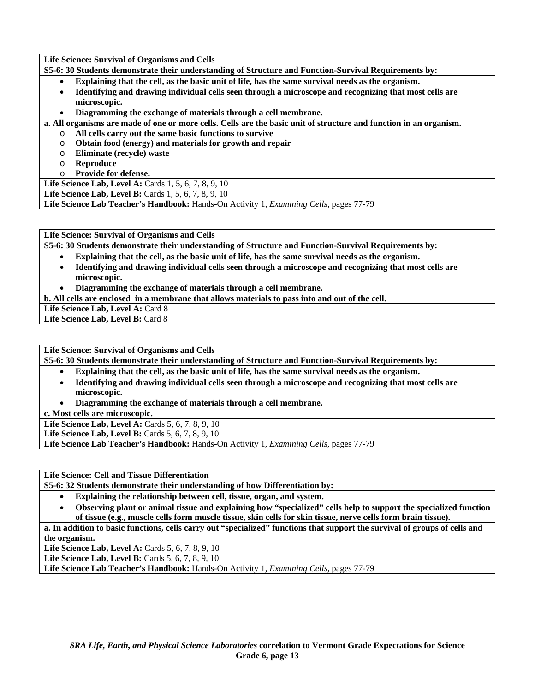**Life Science: Survival of Organisms and Cells** 

**S5-6: 30 Students demonstrate their understanding of Structure and Function-Survival Requirements by:** 

- **Explaining that the cell, as the basic unit of life, has the same survival needs as the organism.**
- **Identifying and drawing individual cells seen through a microscope and recognizing that most cells are microscopic.**
- **Diagramming the exchange of materials through a cell membrane.**

**a. All organisms are made of one or more cells. Cells are the basic unit of structure and function in an organism.** 

- o **All cells carry out the same basic functions to survive**
- o **Obtain food (energy) and materials for growth and repair**
- o **Eliminate (recycle) waste**
- o **Reproduce**
- o **Provide for defense.**

**Life Science Lab, Level A: Cards 1, 5, 6, 7, 8, 9, 10** 

**Life Science Lab, Level B:** Cards 1, 5, 6, 7, 8, 9, 10

**Life Science Lab Teacher's Handbook:** Hands-On Activity 1, *Examining Cells,* pages 77-79

**Life Science: Survival of Organisms and Cells** 

**S5-6: 30 Students demonstrate their understanding of Structure and Function-Survival Requirements by:** 

- **Explaining that the cell, as the basic unit of life, has the same survival needs as the organism.**
- **Identifying and drawing individual cells seen through a microscope and recognizing that most cells are microscopic.**
- **Diagramming the exchange of materials through a cell membrane.**
- **b. All cells are enclosed in a membrane that allows materials to pass into and out of the cell.**

Life Science Lab, Level A: Card 8

Life Science Lab, Level B: Card 8

**Life Science: Survival of Organisms and Cells** 

**S5-6: 30 Students demonstrate their understanding of Structure and Function-Survival Requirements by:** 

- **Explaining that the cell, as the basic unit of life, has the same survival needs as the organism.**
- **Identifying and drawing individual cells seen through a microscope and recognizing that most cells are microscopic.**
- **Diagramming the exchange of materials through a cell membrane.**

**c. Most cells are microscopic.** 

**Life Science Lab, Level A: Cards 5, 6, 7, 8, 9, 10** 

**Life Science Lab, Level B:** Cards 5, 6, 7, 8, 9, 10

**Life Science Lab Teacher's Handbook:** Hands-On Activity 1, *Examining Cells,* pages 77-79

**Life Science: Cell and Tissue Differentiation** 

**S5-6: 32 Students demonstrate their understanding of how Differentiation by:** 

- **Explaining the relationship between cell, tissue, organ, and system.**
- **Observing plant or animal tissue and explaining how "specialized" cells help to support the specialized function of tissue (e.g., muscle cells form muscle tissue, skin cells for skin tissue, nerve cells form brain tissue).**

**a. In addition to basic functions, cells carry out "specialized" functions that support the survival of groups of cells and the organism.** 

**Life Science Lab, Level A: Cards 5, 6, 7, 8, 9, 10** 

**Life Science Lab, Level B:** Cards 5, 6, 7, 8, 9, 10

**Life Science Lab Teacher's Handbook:** Hands-On Activity 1, *Examining Cells,* pages 77-79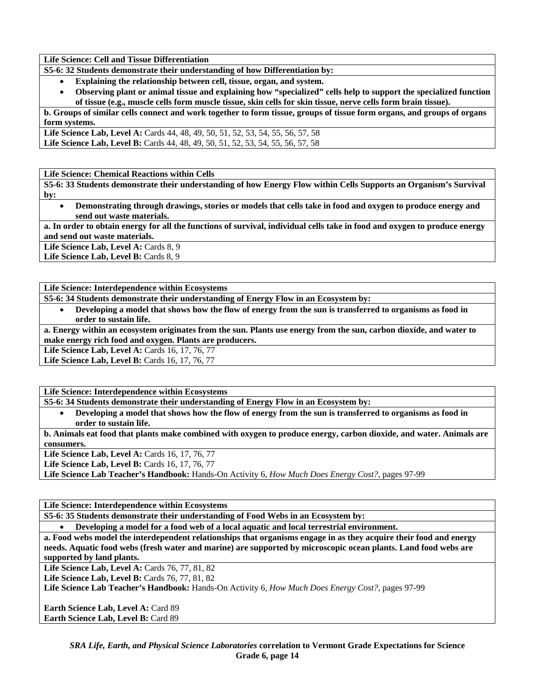**Life Science: Cell and Tissue Differentiation** 

- **S5-6: 32 Students demonstrate their understanding of how Differentiation by:** 
	- **Explaining the relationship between cell, tissue, organ, and system.**
	- **Observing plant or animal tissue and explaining how "specialized" cells help to support the specialized function of tissue (e.g., muscle cells form muscle tissue, skin cells for skin tissue, nerve cells form brain tissue).**

**b. Groups of similar cells connect and work together to form tissue, groups of tissue form organs, and groups of organs form systems.** 

**Life Science Lab, Level A:** Cards 44, 48, 49, 50, 51, 52, 53, 54, 55, 56, 57, 58 Life Science Lab, Level B: Cards 44, 48, 49, 50, 51, 52, 53, 54, 55, 56, 57, 58

**Life Science: Chemical Reactions within Cells** 

**S5-6: 33 Students demonstrate their understanding of how Energy Flow within Cells Supports an Organism's Survival by:** 

• **Demonstrating through drawings, stories or models that cells take in food and oxygen to produce energy and send out waste materials.** 

**a. In order to obtain energy for all the functions of survival, individual cells take in food and oxygen to produce energy and send out waste materials.** 

Life Science Lab, Level A: Cards 8, 9

Life Science Lab, Level B: Cards 8, 9

**Life Science: Interdependence within Ecosystems** 

**S5-6: 34 Students demonstrate their understanding of Energy Flow in an Ecosystem by:** 

• **Developing a model that shows how the flow of energy from the sun is transferred to organisms as food in order to sustain life.** 

**a. Energy within an ecosystem originates from the sun. Plants use energy from the sun, carbon dioxide, and water to make energy rich food and oxygen. Plants are producers.** 

Life Science Lab, Level A: Cards 16, 17, 76, 77

Life Science Lab, Level B: Cards 16, 17, 76, 77

**Life Science: Interdependence within Ecosystems** 

**S5-6: 34 Students demonstrate their understanding of Energy Flow in an Ecosystem by:** 

• **Developing a model that shows how the flow of energy from the sun is transferred to organisms as food in order to sustain life.** 

**b. Animals eat food that plants make combined with oxygen to produce energy, carbon dioxide, and water. Animals are consumers.** 

Life Science Lab, Level A: Cards 16, 17, 76, 77

**Life Science Lab, Level B:** Cards 16, 17, 76, 77

**Life Science Lab Teacher's Handbook:** Hands-On Activity 6, *How Much Does Energy Cost?,* pages 97-99

**Life Science: Interdependence within Ecosystems** 

**S5-6: 35 Students demonstrate their understanding of Food Webs in an Ecosystem by:** 

• **Developing a model for a food web of a local aquatic and local terrestrial environment.** 

**a. Food webs model the interdependent relationships that organisms engage in as they acquire their food and energy needs. Aquatic food webs (fresh water and marine) are supported by microscopic ocean plants. Land food webs are supported by land plants.** 

**Life Science Lab, Level A: Cards 76, 77, 81, 82** 

**Life Science Lab, Level B:** Cards 76, 77, 81, 82

**Life Science Lab Teacher's Handbook:** Hands-On Activity 6, *How Much Does Energy Cost?,* pages 97-99

**Earth Science Lab, Level A: Card 89 Earth Science Lab, Level B:** Card 89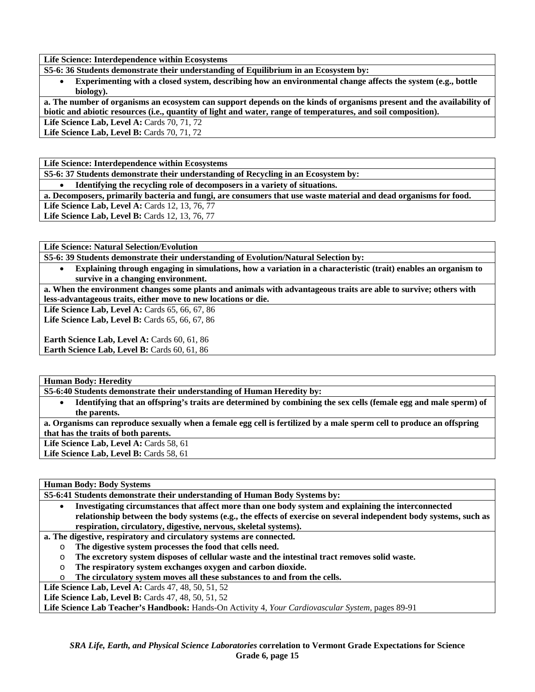**Life Science: Interdependence within Ecosystems** 

**S5-6: 36 Students demonstrate their understanding of Equilibrium in an Ecosystem by:** 

• **Experimenting with a closed system, describing how an environmental change affects the system (e.g., bottle biology).** 

**a. The number of organisms an ecosystem can support depends on the kinds of organisms present and the availability of biotic and abiotic resources (i.e., quantity of light and water, range of temperatures, and soil composition). Life Science Lab, Level A: Cards 70, 71, 72** 

**Life Science Lab, Level B:** Cards 70, 71, 72

**Life Science: Interdependence within Ecosystems** 

**S5-6: 37 Students demonstrate their understanding of Recycling in an Ecosystem by:** 

• **Identifying the recycling role of decomposers in a variety of situations.** 

**a. Decomposers, primarily bacteria and fungi, are consumers that use waste material and dead organisms for food.** 

Life Science Lab, Level A: Cards 12, 13, 76, 77

Life Science Lab, Level B: Cards 12, 13, 76, 77

**Life Science: Natural Selection/Evolution** 

**S5-6: 39 Students demonstrate their understanding of Evolution/Natural Selection by:** 

• **Explaining through engaging in simulations, how a variation in a characteristic (trait) enables an organism to survive in a changing environment.** 

**a. When the environment changes some plants and animals with advantageous traits are able to survive; others with less-advantageous traits, either move to new locations or die.** 

**Life Science Lab, Level A:** Cards 65, 66, 67, 86

Life Science Lab, Level B: Cards 65, 66, 67, 86

**Earth Science Lab, Level A: Cards 60, 61, 86 Earth Science Lab, Level B:** Cards 60, 61, 86

**Human Body: Heredity** 

**S5-6:40 Students demonstrate their understanding of Human Heredity by:** 

• **Identifying that an offspring's traits are determined by combining the sex cells (female egg and male sperm) of the parents.** 

**a. Organisms can reproduce sexually when a female egg cell is fertilized by a male sperm cell to produce an offspring that has the traits of both parents.** 

Life Science Lab, Level A: Cards 58, 61

Life Science Lab, Level B: Cards 58, 61

**Human Body: Body Systems** 

**S5-6:41 Students demonstrate their understanding of Human Body Systems by:** 

• **Investigating circumstances that affect more than one body system and explaining the interconnected relationship between the body systems (e.g., the effects of exercise on several independent body systems, such as respiration, circulatory, digestive, nervous, skeletal systems).** 

**a. The digestive, respiratory and circulatory systems are connected.** 

- o **The digestive system processes the food that cells need.**
- o **The excretory system disposes of cellular waste and the intestinal tract removes solid waste.**
- o **The respiratory system exchanges oxygen and carbon dioxide.**
- o **The circulatory system moves all these substances to and from the cells.**

Life Science Lab, Level A: Cards 47, 48, 50, 51, 52

**Life Science Lab, Level B: Cards 47, 48, 50, 51, 52** 

**Life Science Lab Teacher's Handbook:** Hands-On Activity 4, *Your Cardiovascular System,* pages 89-91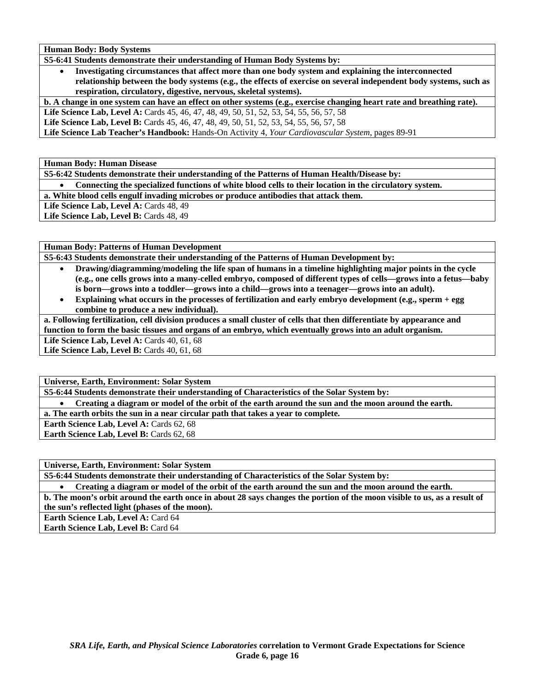**Human Body: Body Systems** 

**S5-6:41 Students demonstrate their understanding of Human Body Systems by:** 

• **Investigating circumstances that affect more than one body system and explaining the interconnected relationship between the body systems (e.g., the effects of exercise on several independent body systems, such as respiration, circulatory, digestive, nervous, skeletal systems).** 

**b. A change in one system can have an effect on other systems (e.g., exercise changing heart rate and breathing rate).** 

Life Science Lab, Level A: Cards 45, 46, 47, 48, 49, 50, 51, 52, 53, 54, 55, 56, 57, 58

**Life Science Lab, Level B:** Cards 45, 46, 47, 48, 49, 50, 51, 52, 53, 54, 55, 56, 57, 58

**Life Science Lab Teacher's Handbook:** Hands-On Activity 4, *Your Cardiovascular System,* pages 89-91

**Human Body: Human Disease** 

**S5-6:42 Students demonstrate their understanding of the Patterns of Human Health/Disease by:** 

• **Connecting the specialized functions of white blood cells to their location in the circulatory system.** 

**a. White blood cells engulf invading microbes or produce antibodies that attack them.** 

Life Science Lab, Level A: Cards 48, 49

Life Science Lab, Level B: Cards 48, 49

**Human Body: Patterns of Human Development** 

**S5-6:43 Students demonstrate their understanding of the Patterns of Human Development by:** 

- **Drawing/diagramming/modeling the life span of humans in a timeline highlighting major points in the cycle (e.g., one cells grows into a many-celled embryo, composed of different types of cells—grows into a fetus—baby is born—grows into a toddler—grows into a child—grows into a teenager—grows into an adult).**
- **Explaining what occurs in the processes of fertilization and early embryo development (e.g., sperm + egg combine to produce a new individual).**

**a. Following fertilization, cell division produces a small cluster of cells that then differentiate by appearance and function to form the basic tissues and organs of an embryo, which eventually grows into an adult organism.** 

Life Science Lab, Level A: Cards 40, 61, 68

**Life Science Lab, Level B:** Cards 40, 61, 68

**Universe, Earth, Environment: Solar System** 

**S5-6:44 Students demonstrate their understanding of Characteristics of the Solar System by:** 

• **Creating a diagram or model of the orbit of the earth around the sun and the moon around the earth.** 

**a. The earth orbits the sun in a near circular path that takes a year to complete.** 

Earth Science Lab, Level A: Cards 62, 68

Earth Science Lab, Level B: Cards 62, 68

**Universe, Earth, Environment: Solar System** 

**S5-6:44 Students demonstrate their understanding of Characteristics of the Solar System by:** 

• **Creating a diagram or model of the orbit of the earth around the sun and the moon around the earth.** 

**b. The moon's orbit around the earth once in about 28 says changes the portion of the moon visible to us, as a result of the sun's reflected light (phases of the moon).** 

**Earth Science Lab, Level A: Card 64** 

**Earth Science Lab, Level B:** Card 64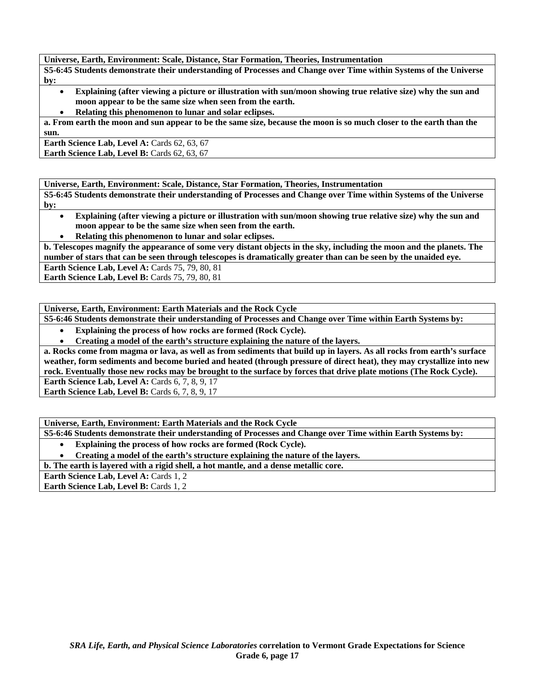**Universe, Earth, Environment: Scale, Distance, Star Formation, Theories, Instrumentation** 

**S5-6:45 Students demonstrate their understanding of Processes and Change over Time within Systems of the Universe by:** 

- **Explaining (after viewing a picture or illustration with sun/moon showing true relative size) why the sun and moon appear to be the same size when seen from the earth.**
- **Relating this phenomenon to lunar and solar eclipses.**

**a. From earth the moon and sun appear to be the same size, because the moon is so much closer to the earth than the sun.** 

**Earth Science Lab, Level A: Cards 62, 63, 67 Earth Science Lab, Level B: Cards 62, 63, 67** 

**Universe, Earth, Environment: Scale, Distance, Star Formation, Theories, Instrumentation** 

**S5-6:45 Students demonstrate their understanding of Processes and Change over Time within Systems of the Universe by:** 

- **Explaining (after viewing a picture or illustration with sun/moon showing true relative size) why the sun and moon appear to be the same size when seen from the earth.**
- **Relating this phenomenon to lunar and solar eclipses.**

**b. Telescopes magnify the appearance of some very distant objects in the sky, including the moon and the planets. The number of stars that can be seen through telescopes is dramatically greater than can be seen by the unaided eye.** 

**Earth Science Lab, Level A: Cards 75, 79, 80, 81** 

**Earth Science Lab, Level B: Cards 75, 79, 80, 81** 

**Universe, Earth, Environment: Earth Materials and the Rock Cycle** 

**S5-6:46 Students demonstrate their understanding of Processes and Change over Time within Earth Systems by:** 

• **Explaining the process of how rocks are formed (Rock Cycle).** 

• **Creating a model of the earth's structure explaining the nature of the layers.** 

**a. Rocks come from magma or lava, as well as from sediments that build up in layers. As all rocks from earth's surface weather, form sediments and become buried and heated (through pressure of direct heat), they may crystallize into new rock. Eventually those new rocks may be brought to the surface by forces that drive plate motions (The Rock Cycle).** 

**Earth Science Lab, Level A: Cards 6, 7, 8, 9, 17** 

**Earth Science Lab, Level B: Cards 6, 7, 8, 9, 17** 

**Universe, Earth, Environment: Earth Materials and the Rock Cycle** 

**S5-6:46 Students demonstrate their understanding of Processes and Change over Time within Earth Systems by:** 

- **Explaining the process of how rocks are formed (Rock Cycle).**
- **Creating a model of the earth's structure explaining the nature of the layers.**

**b. The earth is layered with a rigid shell, a hot mantle, and a dense metallic core.** 

Earth Science Lab, Level A: Cards 1, 2

Earth Science Lab, Level B: Cards 1, 2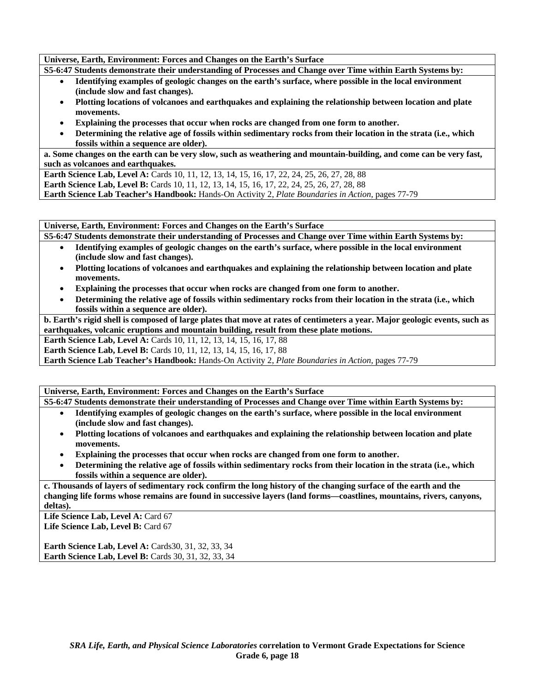**Universe, Earth, Environment: Forces and Changes on the Earth's Surface** 

**S5-6:47 Students demonstrate their understanding of Processes and Change over Time within Earth Systems by:** 

- **Identifying examples of geologic changes on the earth's surface, where possible in the local environment (include slow and fast changes).**
- **Plotting locations of volcanoes and earthquakes and explaining the relationship between location and plate movements.**
- **Explaining the processes that occur when rocks are changed from one form to another.**
- **Determining the relative age of fossils within sedimentary rocks from their location in the strata (i.e., which fossils within a sequence are older).**

**a. Some changes on the earth can be very slow, such as weathering and mountain-building, and come can be very fast, such as volcanoes and earthquakes.** 

Earth Science Lab, Level A: Cards 10, 11, 12, 13, 14, 15, 16, 17, 22, 24, 25, 26, 27, 28, 88 **Earth Science Lab, Level B:** Cards 10, 11, 12, 13, 14, 15, 16, 17, 22, 24, 25, 26, 27, 28, 88 **Earth Science Lab Teacher's Handbook:** Hands-On Activity 2, *Plate Boundaries in Action,* pages 77-79

**Universe, Earth, Environment: Forces and Changes on the Earth's Surface** 

**S5-6:47 Students demonstrate their understanding of Processes and Change over Time within Earth Systems by:** 

- **Identifying examples of geologic changes on the earth's surface, where possible in the local environment (include slow and fast changes).**
- **Plotting locations of volcanoes and earthquakes and explaining the relationship between location and plate movements.**
- **Explaining the processes that occur when rocks are changed from one form to another.**
- **Determining the relative age of fossils within sedimentary rocks from their location in the strata (i.e., which fossils within a sequence are older).**

**b. Earth's rigid shell is composed of large plates that move at rates of centimeters a year. Major geologic events, such as earthquakes, volcanic eruptions and mountain building, result from these plate motions.** 

**Earth Science Lab, Level A: Cards 10, 11, 12, 13, 14, 15, 16, 17, 88** 

**Earth Science Lab, Level B:** Cards 10, 11, 12, 13, 14, 15, 16, 17, 88

**Earth Science Lab Teacher's Handbook:** Hands-On Activity 2, *Plate Boundaries in Action,* pages 77-79

**Universe, Earth, Environment: Forces and Changes on the Earth's Surface** 

**S5-6:47 Students demonstrate their understanding of Processes and Change over Time within Earth Systems by:** 

- **Identifying examples of geologic changes on the earth's surface, where possible in the local environment (include slow and fast changes).**
- **Plotting locations of volcanoes and earthquakes and explaining the relationship between location and plate movements.**
- **Explaining the processes that occur when rocks are changed from one form to another.**
- **Determining the relative age of fossils within sedimentary rocks from their location in the strata (i.e., which fossils within a sequence are older).**

**c. Thousands of layers of sedimentary rock confirm the long history of the changing surface of the earth and the changing life forms whose remains are found in successive layers (land forms—coastlines, mountains, rivers, canyons, deltas).** 

Life Science Lab, Level A: Card 67 Life Science Lab, Level B: Card 67

**Earth Science Lab, Level A: Cards30, 31, 32, 33, 34 Earth Science Lab, Level B:** Cards 30, 31, 32, 33, 34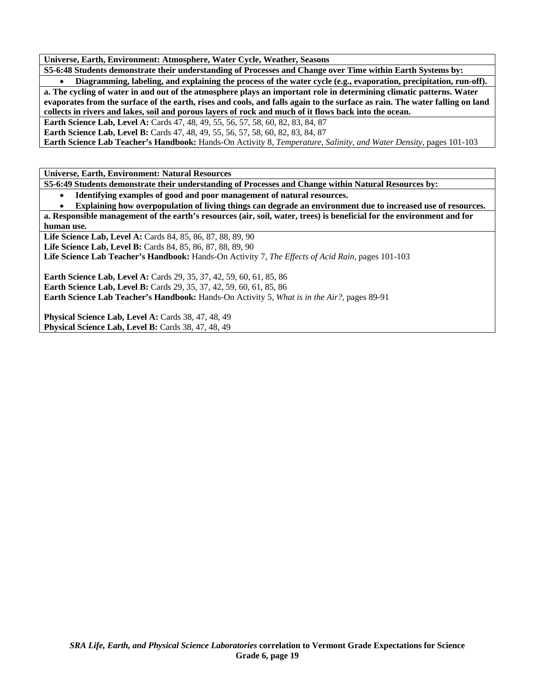**Universe, Earth, Environment: Atmosphere, Water Cycle, Weather, Seasons** 

**S5-6:48 Students demonstrate their understanding of Processes and Change over Time within Earth Systems by:** 

• **Diagramming, labeling, and explaining the process of the water cycle (e.g., evaporation, precipitation, run-off). a. The cycling of water in and out of the atmosphere plays an important role in determining climatic patterns. Water evaporates from the surface of the earth, rises and cools, and falls again to the surface as rain. The water falling on land collects in rivers and lakes, soil and porous layers of rock and much of it flows back into the ocean.** 

**Earth Science Lab, Level A: Cards 47, 48, 49, 55, 56, 57, 58, 60, 82, 83, 84, 87** 

**Earth Science Lab, Level B:** Cards 47, 48, 49, 55, 56, 57, 58, 60, 82, 83, 84, 87

**Earth Science Lab Teacher's Handbook:** Hands-On Activity 8, *Temperature, Salinity, and Water Density,* pages 101-103

**Universe, Earth, Environment: Natural Resources** 

**S5-6:49 Students demonstrate their understanding of Processes and Change within Natural Resources by:** 

- **Identifying examples of good and poor management of natural resources.**
- **Explaining how overpopulation of living things can degrade an environment due to increased use of resources.**

**a. Responsible management of the earth's resources (air, soil, water, trees) is beneficial for the environment and for human use.** 

Life Science Lab, Level A: Cards 84, 85, 86, 87, 88, 89, 90 **Life Science Lab, Level B:** Cards 84, 85, 86, 87, 88, 89, 90

**Life Science Lab Teacher's Handbook:** Hands-On Activity 7, *The Effects of Acid Rain,* pages 101-103

**Earth Science Lab, Level A:** Cards 29, 35, 37, 42, 59, 60, 61, 85, 86 **Earth Science Lab, Level B:** Cards 29, 35, 37, 42, 59, 60, 61, 85, 86 **Earth Science Lab Teacher's Handbook:** Hands-On Activity 5, *What is in the Air?,* pages 89-91

Physical Science Lab, Level A: Cards 38, 47, 48, 49 **Physical Science Lab, Level B:** Cards 38, 47, 48, 49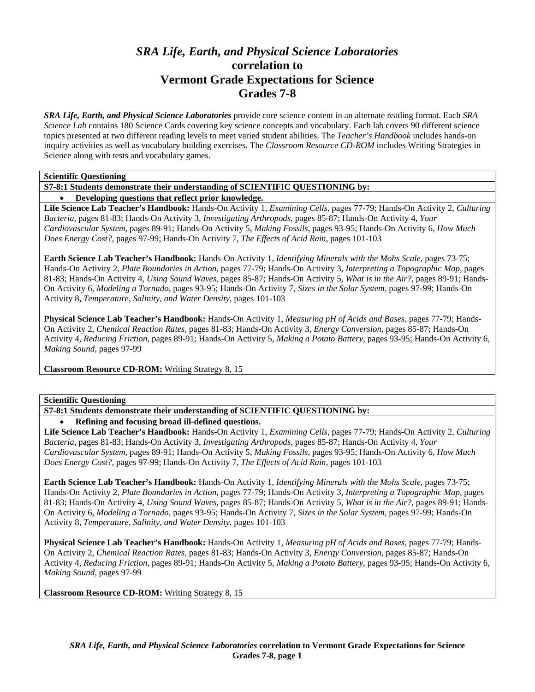# *SRA Life, Earth, and Physical Science Laboratories*  **correlation to Vermont Grade Expectations for Science Grades 7-8**

*SRA Life, Earth, and Physical Science Laboratories* provide core science content in an alternate reading format. Each *SRA Science Lab* contains 180 Science Cards covering key science concepts and vocabulary. Each lab covers 90 different science topics presented at two different reading levels to meet varied student abilities. The *Teacher's Handbook* includes hands-on inquiry activities as well as vocabulary building exercises. The *Classroom Resource CD-ROM* includes Writing Strategies in Science along with tests and vocabulary games.

**Scientific Questioning** 

**S7-8:1 Students demonstrate their understanding of SCIENTIFIC QUESTIONING by:** 

• **Developing questions that reflect prior knowledge.** 

**Life Science Lab Teacher's Handbook:** Hands-On Activity 1, *Examining Cells,* pages 77-79; Hands-On Activity 2, *Culturing Bacteria,* pages 81-83; Hands-On Activity 3, *Investigating Arthropods,* pages 85-87; Hands-On Activity 4, *Your Cardiovascular System,* pages 89-91; Hands-On Activity 5, *Making Fossils,* pages 93-95; Hands-On Activity 6, *How Much Does Energy Cost?,* pages 97-99; Hands-On Activity 7, *The Effects of Acid Rain,* pages 101-103

**Earth Science Lab Teacher's Handbook:** Hands-On Activity 1, *Identifying Minerals with the Mohs Scale,* pages 73-75; Hands-On Activity 2, *Plate Boundaries in Action,* pages 77-79; Hands-On Activity 3, *Interpreting a Topographic Map,* pages 81-83; Hands-On Activity 4, *Using Sound Waves,* pages 85-87; Hands-On Activity 5, *What is in the Air?,* pages 89-91; Hands-On Activity 6, *Modeling a Tornado,* pages 93-95; Hands-On Activity 7, *Sizes in the Solar System,* pages 97-99; Hands-On Activity 8, *Temperature, Salinity, and Water Density,* pages 101-103

**Physical Science Lab Teacher's Handbook:** Hands-On Activity 1, *Measuring pH of Acids and Bases,* pages 77-79; Hands-On Activity 2, *Chemical Reaction Rates,* pages 81-83; Hands-On Activity 3, *Energy Conversion,* pages 85-87; Hands-On Activity 4, *Reducing Friction,* pages 89-91; Hands-On Activity 5, *Making a Potato Battery,* pages 93-95; Hands-On Activity 6, *Making Sound,* pages 97-99

**Classroom Resource CD-ROM:** Writing Strategy 8, 15

**Scientific Questioning** 

**S7-8:1 Students demonstrate their understanding of SCIENTIFIC QUESTIONING by:** 

• **Refining and focusing broad ill-defined questions.** 

**Life Science Lab Teacher's Handbook:** Hands-On Activity 1, *Examining Cells,* pages 77-79; Hands-On Activity 2, *Culturing Bacteria,* pages 81-83; Hands-On Activity 3, *Investigating Arthropods,* pages 85-87; Hands-On Activity 4, *Your Cardiovascular System,* pages 89-91; Hands-On Activity 5, *Making Fossils,* pages 93-95; Hands-On Activity 6, *How Much Does Energy Cost?,* pages 97-99; Hands-On Activity 7, *The Effects of Acid Rain,* pages 101-103

**Earth Science Lab Teacher's Handbook:** Hands-On Activity 1, *Identifying Minerals with the Mohs Scale,* pages 73-75; Hands-On Activity 2, *Plate Boundaries in Action,* pages 77-79; Hands-On Activity 3, *Interpreting a Topographic Map,* pages 81-83; Hands-On Activity 4, *Using Sound Waves,* pages 85-87; Hands-On Activity 5, *What is in the Air?,* pages 89-91; Hands-On Activity 6, *Modeling a Tornado,* pages 93-95; Hands-On Activity 7, *Sizes in the Solar System,* pages 97-99; Hands-On Activity 8, *Temperature, Salinity, and Water Density,* pages 101-103

**Physical Science Lab Teacher's Handbook:** Hands-On Activity 1, *Measuring pH of Acids and Bases,* pages 77-79; Hands-On Activity 2, *Chemical Reaction Rates,* pages 81-83; Hands-On Activity 3, *Energy Conversion,* pages 85-87; Hands-On Activity 4, *Reducing Friction,* pages 89-91; Hands-On Activity 5, *Making a Potato Battery,* pages 93-95; Hands-On Activity 6, *Making Sound,* pages 97-99

**Classroom Resource CD-ROM:** Writing Strategy 8, 15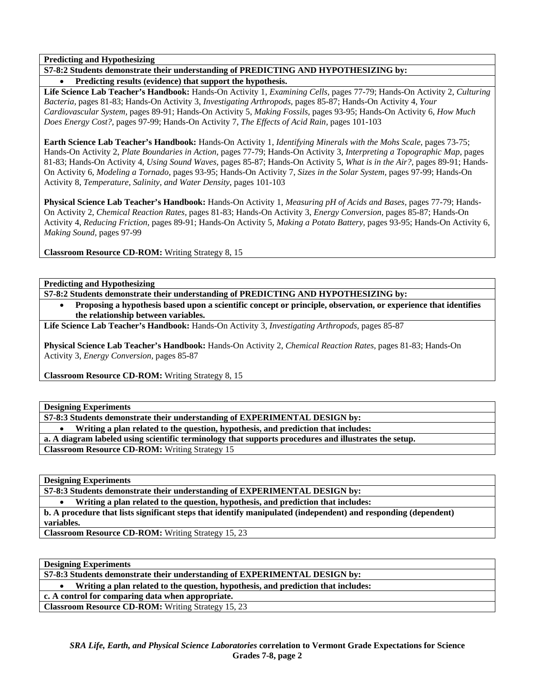**Predicting and Hypothesizing** 

# **S7-8:2 Students demonstrate their understanding of PREDICTING AND HYPOTHESIZING by:**

• **Predicting results (evidence) that support the hypothesis.** 

**Life Science Lab Teacher's Handbook:** Hands-On Activity 1, *Examining Cells,* pages 77-79; Hands-On Activity 2, *Culturing Bacteria,* pages 81-83; Hands-On Activity 3, *Investigating Arthropods,* pages 85-87; Hands-On Activity 4, *Your Cardiovascular System,* pages 89-91; Hands-On Activity 5, *Making Fossils,* pages 93-95; Hands-On Activity 6, *How Much Does Energy Cost?,* pages 97-99; Hands-On Activity 7, *The Effects of Acid Rain,* pages 101-103

**Earth Science Lab Teacher's Handbook:** Hands-On Activity 1, *Identifying Minerals with the Mohs Scale,* pages 73-75; Hands-On Activity 2, *Plate Boundaries in Action,* pages 77-79; Hands-On Activity 3, *Interpreting a Topographic Map,* pages 81-83; Hands-On Activity 4, *Using Sound Waves,* pages 85-87; Hands-On Activity 5, *What is in the Air?,* pages 89-91; Hands-On Activity 6, *Modeling a Tornado,* pages 93-95; Hands-On Activity 7, *Sizes in the Solar System,* pages 97-99; Hands-On Activity 8, *Temperature, Salinity, and Water Density,* pages 101-103

**Physical Science Lab Teacher's Handbook:** Hands-On Activity 1, *Measuring pH of Acids and Bases,* pages 77-79; Hands-On Activity 2, *Chemical Reaction Rates,* pages 81-83; Hands-On Activity 3, *Energy Conversion,* pages 85-87; Hands-On Activity 4, *Reducing Friction,* pages 89-91; Hands-On Activity 5, *Making a Potato Battery,* pages 93-95; Hands-On Activity 6, *Making Sound,* pages 97-99

**Classroom Resource CD-ROM:** Writing Strategy 8, 15

**Predicting and Hypothesizing** 

**S7-8:2 Students demonstrate their understanding of PREDICTING AND HYPOTHESIZING by:** 

• **Proposing a hypothesis based upon a scientific concept or principle, observation, or experience that identifies the relationship between variables.** 

**Life Science Lab Teacher's Handbook:** Hands-On Activity 3, *Investigating Arthropods,* pages 85-87

**Physical Science Lab Teacher's Handbook:** Hands-On Activity 2, *Chemical Reaction Rates,* pages 81-83; Hands-On Activity 3, *Energy Conversion,* pages 85-87

**Classroom Resource CD-ROM:** Writing Strategy 8, 15

**Designing Experiments** 

**S7-8:3 Students demonstrate their understanding of EXPERIMENTAL DESIGN by:** 

• **Writing a plan related to the question, hypothesis, and prediction that includes:** 

**a. A diagram labeled using scientific terminology that supports procedures and illustrates the setup.** 

**Classroom Resource CD-ROM:** Writing Strategy 15

**Designing Experiments** 

**S7-8:3 Students demonstrate their understanding of EXPERIMENTAL DESIGN by:** 

• **Writing a plan related to the question, hypothesis, and prediction that includes:** 

**b. A procedure that lists significant steps that identify manipulated (independent) and responding (dependent) variables.** 

**Classroom Resource CD-ROM:** Writing Strategy 15, 23

**Designing Experiments** 

**S7-8:3 Students demonstrate their understanding of EXPERIMENTAL DESIGN by:** 

• **Writing a plan related to the question, hypothesis, and prediction that includes:** 

**c. A control for comparing data when appropriate.** 

**Classroom Resource CD-ROM:** Writing Strategy 15, 23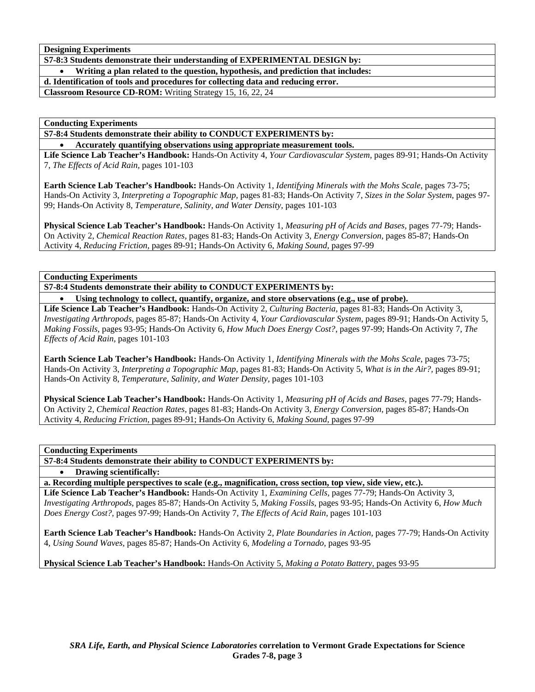**Designing Experiments** 

**S7-8:3 Students demonstrate their understanding of EXPERIMENTAL DESIGN by:** 

• **Writing a plan related to the question, hypothesis, and prediction that includes:** 

**d. Identification of tools and procedures for collecting data and reducing error.** 

**Classroom Resource CD-ROM:** Writing Strategy 15, 16, 22, 24

**Conducting Experiments** 

**S7-8:4 Students demonstrate their ability to CONDUCT EXPERIMENTS by:** 

• **Accurately quantifying observations using appropriate measurement tools.** 

**Life Science Lab Teacher's Handbook:** Hands-On Activity 4, *Your Cardiovascular System,* pages 89-91; Hands-On Activity 7, *The Effects of Acid Rain,* pages 101-103

**Earth Science Lab Teacher's Handbook:** Hands-On Activity 1, *Identifying Minerals with the Mohs Scale,* pages 73-75; Hands-On Activity 3, *Interpreting a Topographic Map,* pages 81-83; Hands-On Activity 7, *Sizes in the Solar System,* pages 97- 99; Hands-On Activity 8, *Temperature, Salinity, and Water Density,* pages 101-103

**Physical Science Lab Teacher's Handbook:** Hands-On Activity 1, *Measuring pH of Acids and Bases,* pages 77-79; Hands-On Activity 2, *Chemical Reaction Rates,* pages 81-83; Hands-On Activity 3, *Energy Conversion,* pages 85-87; Hands-On Activity 4, *Reducing Friction,* pages 89-91; Hands-On Activity 6, *Making Sound,* pages 97-99

**Conducting Experiments** 

**S7-8:4 Students demonstrate their ability to CONDUCT EXPERIMENTS by:** 

• **Using technology to collect, quantify, organize, and store observations (e.g., use of probe).** 

**Life Science Lab Teacher's Handbook:** Hands-On Activity 2, *Culturing Bacteria,* pages 81-83; Hands-On Activity 3, *Investigating Arthropods,* pages 85-87; Hands-On Activity 4, *Your Cardiovascular System,* pages 89-91; Hands-On Activity 5, *Making Fossils,* pages 93-95; Hands-On Activity 6, *How Much Does Energy Cost?,* pages 97-99; Hands-On Activity 7, *The Effects of Acid Rain,* pages 101-103

**Earth Science Lab Teacher's Handbook:** Hands-On Activity 1, *Identifying Minerals with the Mohs Scale,* pages 73-75; Hands-On Activity 3, *Interpreting a Topographic Map,* pages 81-83; Hands-On Activity 5, *What is in the Air?,* pages 89-91; Hands-On Activity 8, *Temperature, Salinity, and Water Density,* pages 101-103

**Physical Science Lab Teacher's Handbook:** Hands-On Activity 1, *Measuring pH of Acids and Bases,* pages 77-79; Hands-On Activity 2, *Chemical Reaction Rates,* pages 81-83; Hands-On Activity 3, *Energy Conversion,* pages 85-87; Hands-On Activity 4, *Reducing Friction,* pages 89-91; Hands-On Activity 6, *Making Sound,* pages 97-99

**Conducting Experiments** 

**S7-8:4 Students demonstrate their ability to CONDUCT EXPERIMENTS by:** 

• **Drawing scientifically:** 

**a. Recording multiple perspectives to scale (e.g., magnification, cross section, top view, side view, etc.).** 

**Life Science Lab Teacher's Handbook:** Hands-On Activity 1, *Examining Cells,* pages 77-79; Hands-On Activity 3, *Investigating Arthropods,* pages 85-87; Hands-On Activity 5, *Making Fossils,* pages 93-95; Hands-On Activity 6, *How Much Does Energy Cost?,* pages 97-99; Hands-On Activity 7, *The Effects of Acid Rain,* pages 101-103

**Earth Science Lab Teacher's Handbook:** Hands-On Activity 2, *Plate Boundaries in Action,* pages 77-79; Hands-On Activity 4, *Using Sound Waves,* pages 85-87; Hands-On Activity 6, *Modeling a Tornado,* pages 93-95

**Physical Science Lab Teacher's Handbook:** Hands-On Activity 5, *Making a Potato Battery,* pages 93-95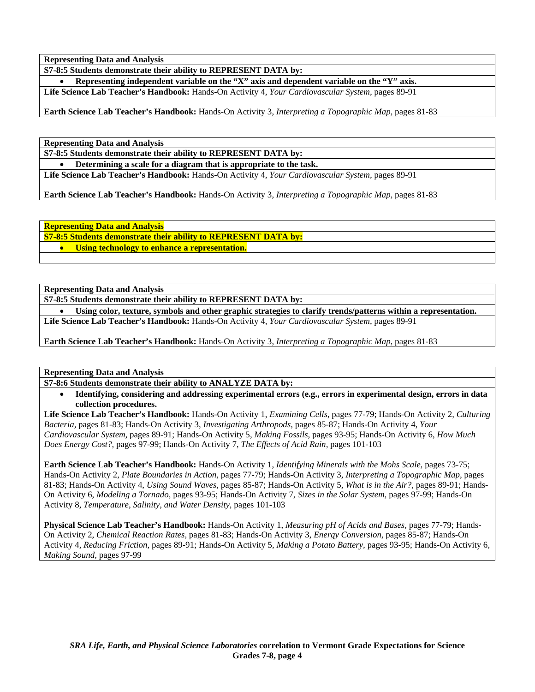**S7-8:5 Students demonstrate their ability to REPRESENT DATA by:** 

• **Representing independent variable on the "X" axis and dependent variable on the "Y" axis. Life Science Lab Teacher's Handbook:** Hands-On Activity 4, *Your Cardiovascular System,* pages 89-91

**Earth Science Lab Teacher's Handbook:** Hands-On Activity 3, *Interpreting a Topographic Map,* pages 81-83

**Representing Data and Analysis** 

**S7-8:5 Students demonstrate their ability to REPRESENT DATA by:** 

• **Determining a scale for a diagram that is appropriate to the task.** 

**Life Science Lab Teacher's Handbook:** Hands-On Activity 4, *Your Cardiovascular System,* pages 89-91

**Earth Science Lab Teacher's Handbook:** Hands-On Activity 3, *Interpreting a Topographic Map,* pages 81-83

**Representing Data and Analysis** 

**S7-8:5 Students demonstrate their ability to REPRESENT DATA by:** 

• **Using technology to enhance a representation.** 

**Representing Data and Analysis** 

**S7-8:5 Students demonstrate their ability to REPRESENT DATA by:** 

• **Using color, texture, symbols and other graphic strategies to clarify trends/patterns within a representation. Life Science Lab Teacher's Handbook:** Hands-On Activity 4, *Your Cardiovascular System,* pages 89-91

**Earth Science Lab Teacher's Handbook:** Hands-On Activity 3, *Interpreting a Topographic Map,* pages 81-83

**Representing Data and Analysis** 

**S7-8:6 Students demonstrate their ability to ANALYZE DATA by:** 

• **Identifying, considering and addressing experimental errors (e.g., errors in experimental design, errors in data collection procedures.** 

**Life Science Lab Teacher's Handbook:** Hands-On Activity 1, *Examining Cells,* pages 77-79; Hands-On Activity 2, *Culturing Bacteria,* pages 81-83; Hands-On Activity 3, *Investigating Arthropods,* pages 85-87; Hands-On Activity 4, *Your Cardiovascular System,* pages 89-91; Hands-On Activity 5, *Making Fossils,* pages 93-95; Hands-On Activity 6, *How Much Does Energy Cost?,* pages 97-99; Hands-On Activity 7, *The Effects of Acid Rain,* pages 101-103

**Earth Science Lab Teacher's Handbook:** Hands-On Activity 1, *Identifying Minerals with the Mohs Scale,* pages 73-75; Hands-On Activity 2, *Plate Boundaries in Action,* pages 77-79; Hands-On Activity 3, *Interpreting a Topographic Map,* pages 81-83; Hands-On Activity 4, *Using Sound Waves,* pages 85-87; Hands-On Activity 5, *What is in the Air?,* pages 89-91; Hands-On Activity 6, *Modeling a Tornado,* pages 93-95; Hands-On Activity 7, *Sizes in the Solar System,* pages 97-99; Hands-On Activity 8, *Temperature, Salinity, and Water Density,* pages 101-103

**Physical Science Lab Teacher's Handbook:** Hands-On Activity 1, *Measuring pH of Acids and Bases,* pages 77-79; Hands-On Activity 2, *Chemical Reaction Rates,* pages 81-83; Hands-On Activity 3, *Energy Conversion,* pages 85-87; Hands-On Activity 4, *Reducing Friction,* pages 89-91; Hands-On Activity 5, *Making a Potato Battery,* pages 93-95; Hands-On Activity 6, *Making Sound,* pages 97-99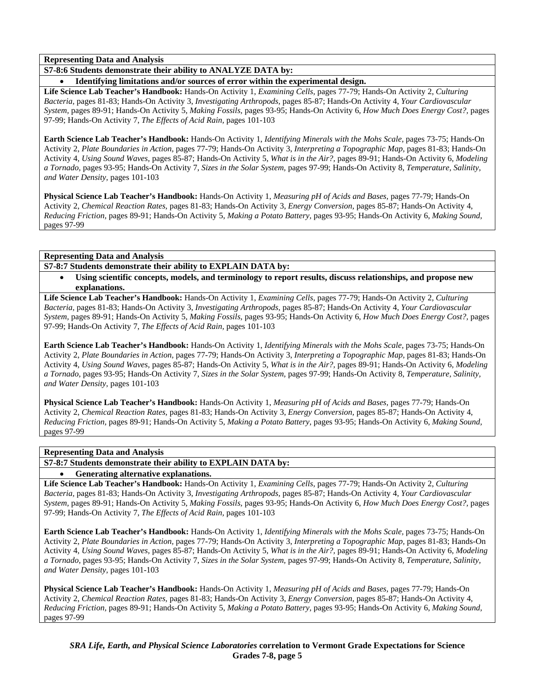**S7-8:6 Students demonstrate their ability to ANALYZE DATA by:** 

• **Identifying limitations and/or sources of error within the experimental design.** 

**Life Science Lab Teacher's Handbook:** Hands-On Activity 1, *Examining Cells,* pages 77-79; Hands-On Activity 2, *Culturing Bacteria,* pages 81-83; Hands-On Activity 3, *Investigating Arthropods,* pages 85-87; Hands-On Activity 4, *Your Cardiovascular System,* pages 89-91; Hands-On Activity 5, *Making Fossils,* pages 93-95; Hands-On Activity 6, *How Much Does Energy Cost?,* pages 97-99; Hands-On Activity 7, *The Effects of Acid Rain,* pages 101-103

**Earth Science Lab Teacher's Handbook:** Hands-On Activity 1, *Identifying Minerals with the Mohs Scale,* pages 73-75; Hands-On Activity 2, *Plate Boundaries in Action,* pages 77-79; Hands-On Activity 3, *Interpreting a Topographic Map,* pages 81-83; Hands-On Activity 4, *Using Sound Waves,* pages 85-87; Hands-On Activity 5, *What is in the Air?,* pages 89-91; Hands-On Activity 6, *Modeling a Tornado,* pages 93-95; Hands-On Activity 7, *Sizes in the Solar System,* pages 97-99; Hands-On Activity 8, *Temperature, Salinity, and Water Density,* pages 101-103

**Physical Science Lab Teacher's Handbook:** Hands-On Activity 1, *Measuring pH of Acids and Bases,* pages 77-79; Hands-On Activity 2, *Chemical Reaction Rates,* pages 81-83; Hands-On Activity 3, *Energy Conversion,* pages 85-87; Hands-On Activity 4, *Reducing Friction,* pages 89-91; Hands-On Activity 5, *Making a Potato Battery,* pages 93-95; Hands-On Activity 6, *Making Sound,* pages 97-99

## **Representing Data and Analysis**

**S7-8:7 Students demonstrate their ability to EXPLAIN DATA by:** 

• **Using scientific concepts, models, and terminology to report results, discuss relationships, and propose new explanations.** 

**Life Science Lab Teacher's Handbook:** Hands-On Activity 1, *Examining Cells,* pages 77-79; Hands-On Activity 2, *Culturing Bacteria,* pages 81-83; Hands-On Activity 3, *Investigating Arthropods,* pages 85-87; Hands-On Activity 4, *Your Cardiovascular System,* pages 89-91; Hands-On Activity 5, *Making Fossils,* pages 93-95; Hands-On Activity 6, *How Much Does Energy Cost?,* pages 97-99; Hands-On Activity 7, *The Effects of Acid Rain,* pages 101-103

**Earth Science Lab Teacher's Handbook:** Hands-On Activity 1, *Identifying Minerals with the Mohs Scale,* pages 73-75; Hands-On Activity 2, *Plate Boundaries in Action,* pages 77-79; Hands-On Activity 3, *Interpreting a Topographic Map,* pages 81-83; Hands-On Activity 4, *Using Sound Waves,* pages 85-87; Hands-On Activity 5, *What is in the Air?,* pages 89-91; Hands-On Activity 6, *Modeling a Tornado,* pages 93-95; Hands-On Activity 7, *Sizes in the Solar System,* pages 97-99; Hands-On Activity 8, *Temperature, Salinity, and Water Density,* pages 101-103

**Physical Science Lab Teacher's Handbook:** Hands-On Activity 1, *Measuring pH of Acids and Bases,* pages 77-79; Hands-On Activity 2, *Chemical Reaction Rates,* pages 81-83; Hands-On Activity 3, *Energy Conversion,* pages 85-87; Hands-On Activity 4, *Reducing Friction,* pages 89-91; Hands-On Activity 5, *Making a Potato Battery,* pages 93-95; Hands-On Activity 6, *Making Sound,* pages 97-99

## **Representing Data and Analysis**

**S7-8:7 Students demonstrate their ability to EXPLAIN DATA by:** 

# • **Generating alternative explanations.**

**Life Science Lab Teacher's Handbook:** Hands-On Activity 1, *Examining Cells,* pages 77-79; Hands-On Activity 2, *Culturing Bacteria,* pages 81-83; Hands-On Activity 3, *Investigating Arthropods,* pages 85-87; Hands-On Activity 4, *Your Cardiovascular System,* pages 89-91; Hands-On Activity 5, *Making Fossils,* pages 93-95; Hands-On Activity 6, *How Much Does Energy Cost?,* pages 97-99; Hands-On Activity 7, *The Effects of Acid Rain,* pages 101-103

**Earth Science Lab Teacher's Handbook:** Hands-On Activity 1, *Identifying Minerals with the Mohs Scale,* pages 73-75; Hands-On Activity 2, *Plate Boundaries in Action,* pages 77-79; Hands-On Activity 3, *Interpreting a Topographic Map,* pages 81-83; Hands-On Activity 4, *Using Sound Waves,* pages 85-87; Hands-On Activity 5, *What is in the Air?,* pages 89-91; Hands-On Activity 6, *Modeling a Tornado,* pages 93-95; Hands-On Activity 7, *Sizes in the Solar System,* pages 97-99; Hands-On Activity 8, *Temperature, Salinity, and Water Density,* pages 101-103

**Physical Science Lab Teacher's Handbook:** Hands-On Activity 1, *Measuring pH of Acids and Bases,* pages 77-79; Hands-On Activity 2, *Chemical Reaction Rates,* pages 81-83; Hands-On Activity 3, *Energy Conversion,* pages 85-87; Hands-On Activity 4, *Reducing Friction,* pages 89-91; Hands-On Activity 5, *Making a Potato Battery,* pages 93-95; Hands-On Activity 6, *Making Sound,* pages 97-99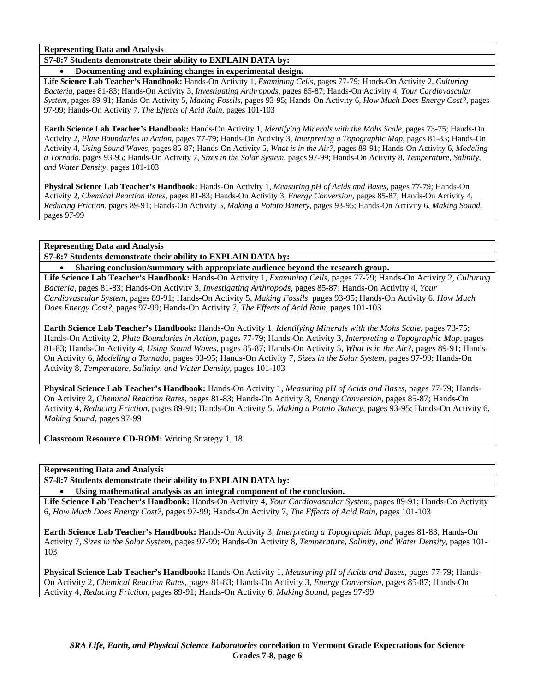**S7-8:7 Students demonstrate their ability to EXPLAIN DATA by:** 

• **Documenting and explaining changes in experimental design.** 

**Life Science Lab Teacher's Handbook:** Hands-On Activity 1, *Examining Cells,* pages 77-79; Hands-On Activity 2, *Culturing Bacteria,* pages 81-83; Hands-On Activity 3, *Investigating Arthropods,* pages 85-87; Hands-On Activity 4, *Your Cardiovascular System,* pages 89-91; Hands-On Activity 5, *Making Fossils,* pages 93-95; Hands-On Activity 6, *How Much Does Energy Cost?,* pages 97-99; Hands-On Activity 7, *The Effects of Acid Rain,* pages 101-103

**Earth Science Lab Teacher's Handbook:** Hands-On Activity 1, *Identifying Minerals with the Mohs Scale,* pages 73-75; Hands-On Activity 2, *Plate Boundaries in Action,* pages 77-79; Hands-On Activity 3, *Interpreting a Topographic Map,* pages 81-83; Hands-On Activity 4, *Using Sound Waves,* pages 85-87; Hands-On Activity 5, *What is in the Air?,* pages 89-91; Hands-On Activity 6, *Modeling a Tornado,* pages 93-95; Hands-On Activity 7, *Sizes in the Solar System,* pages 97-99; Hands-On Activity 8, *Temperature, Salinity, and Water Density,* pages 101-103

**Physical Science Lab Teacher's Handbook:** Hands-On Activity 1, *Measuring pH of Acids and Bases,* pages 77-79; Hands-On Activity 2, *Chemical Reaction Rates,* pages 81-83; Hands-On Activity 3, *Energy Conversion,* pages 85-87; Hands-On Activity 4, *Reducing Friction,* pages 89-91; Hands-On Activity 5, *Making a Potato Battery,* pages 93-95; Hands-On Activity 6, *Making Sound,* pages 97-99

**Representing Data and Analysis** 

**S7-8:7 Students demonstrate their ability to EXPLAIN DATA by:** 

• **Sharing conclusion/summary with appropriate audience beyond the research group. Life Science Lab Teacher's Handbook:** Hands-On Activity 1, *Examining Cells,* pages 77-79; Hands-On Activity 2, *Culturing Bacteria,* pages 81-83; Hands-On Activity 3, *Investigating Arthropods,* pages 85-87; Hands-On Activity 4, *Your Cardiovascular System,* pages 89-91; Hands-On Activity 5, *Making Fossils,* pages 93-95; Hands-On Activity 6, *How Much Does Energy Cost?,* pages 97-99; Hands-On Activity 7, *The Effects of Acid Rain,* pages 101-103

**Earth Science Lab Teacher's Handbook:** Hands-On Activity 1, *Identifying Minerals with the Mohs Scale,* pages 73-75; Hands-On Activity 2, *Plate Boundaries in Action,* pages 77-79; Hands-On Activity 3, *Interpreting a Topographic Map,* pages 81-83; Hands-On Activity 4, *Using Sound Waves,* pages 85-87; Hands-On Activity 5, *What is in the Air?,* pages 89-91; Hands-On Activity 6, *Modeling a Tornado,* pages 93-95; Hands-On Activity 7, *Sizes in the Solar System,* pages 97-99; Hands-On Activity 8, *Temperature, Salinity, and Water Density,* pages 101-103

**Physical Science Lab Teacher's Handbook:** Hands-On Activity 1, *Measuring pH of Acids and Bases,* pages 77-79; Hands-On Activity 2, *Chemical Reaction Rates,* pages 81-83; Hands-On Activity 3, *Energy Conversion,* pages 85-87; Hands-On Activity 4, *Reducing Friction,* pages 89-91; Hands-On Activity 5, *Making a Potato Battery,* pages 93-95; Hands-On Activity 6, *Making Sound,* pages 97-99

**Classroom Resource CD-ROM:** Writing Strategy 1, 18

**Representing Data and Analysis** 

**S7-8:7 Students demonstrate their ability to EXPLAIN DATA by:** 

Using mathematical analysis as an integral component of the conclusion.

**Life Science Lab Teacher's Handbook:** Hands-On Activity 4, *Your Cardiovascular System,* pages 89-91; Hands-On Activity 6, *How Much Does Energy Cost?,* pages 97-99; Hands-On Activity 7, *The Effects of Acid Rain,* pages 101-103

**Earth Science Lab Teacher's Handbook:** Hands-On Activity 3, *Interpreting a Topographic Map,* pages 81-83; Hands-On Activity 7, *Sizes in the Solar System,* pages 97-99; Hands-On Activity 8, *Temperature, Salinity, and Water Density,* pages 101- 103

**Physical Science Lab Teacher's Handbook:** Hands-On Activity 1, *Measuring pH of Acids and Bases,* pages 77-79; Hands-On Activity 2, *Chemical Reaction Rates,* pages 81-83; Hands-On Activity 3, *Energy Conversion,* pages 85-87; Hands-On Activity 4, *Reducing Friction,* pages 89-91; Hands-On Activity 6, *Making Sound,* pages 97-99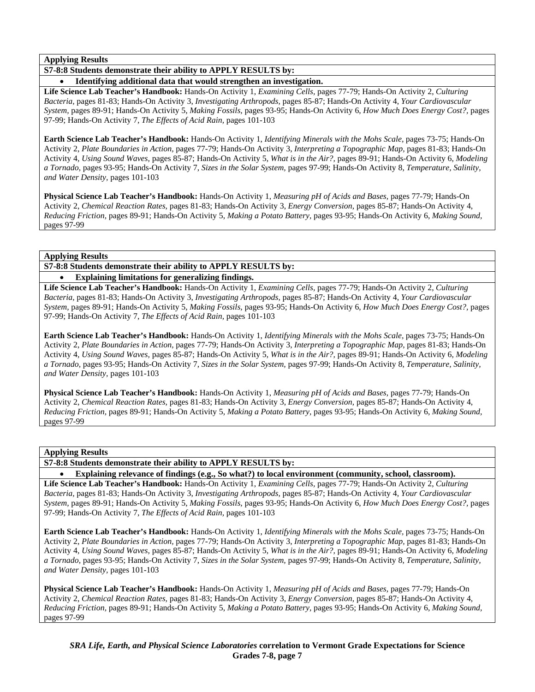**Applying Results** 

**S7-8:8 Students demonstrate their ability to APPLY RESULTS by:** 

• **Identifying additional data that would strengthen an investigation.** 

**Life Science Lab Teacher's Handbook:** Hands-On Activity 1, *Examining Cells,* pages 77-79; Hands-On Activity 2, *Culturing Bacteria,* pages 81-83; Hands-On Activity 3, *Investigating Arthropods,* pages 85-87; Hands-On Activity 4, *Your Cardiovascular System,* pages 89-91; Hands-On Activity 5, *Making Fossils,* pages 93-95; Hands-On Activity 6, *How Much Does Energy Cost?,* pages 97-99; Hands-On Activity 7, *The Effects of Acid Rain,* pages 101-103

**Earth Science Lab Teacher's Handbook:** Hands-On Activity 1, *Identifying Minerals with the Mohs Scale,* pages 73-75; Hands-On Activity 2, *Plate Boundaries in Action,* pages 77-79; Hands-On Activity 3, *Interpreting a Topographic Map,* pages 81-83; Hands-On Activity 4, *Using Sound Waves,* pages 85-87; Hands-On Activity 5, *What is in the Air?,* pages 89-91; Hands-On Activity 6, *Modeling a Tornado,* pages 93-95; Hands-On Activity 7, *Sizes in the Solar System,* pages 97-99; Hands-On Activity 8, *Temperature, Salinity, and Water Density,* pages 101-103

**Physical Science Lab Teacher's Handbook:** Hands-On Activity 1, *Measuring pH of Acids and Bases,* pages 77-79; Hands-On Activity 2, *Chemical Reaction Rates,* pages 81-83; Hands-On Activity 3, *Energy Conversion,* pages 85-87; Hands-On Activity 4, *Reducing Friction,* pages 89-91; Hands-On Activity 5, *Making a Potato Battery,* pages 93-95; Hands-On Activity 6, *Making Sound,* pages 97-99

#### **Applying Results**

**S7-8:8 Students demonstrate their ability to APPLY RESULTS by:** 

## • **Explaining limitations for generalizing findings.**

**Life Science Lab Teacher's Handbook:** Hands-On Activity 1, *Examining Cells,* pages 77-79; Hands-On Activity 2, *Culturing Bacteria,* pages 81-83; Hands-On Activity 3, *Investigating Arthropods,* pages 85-87; Hands-On Activity 4, *Your Cardiovascular System,* pages 89-91; Hands-On Activity 5, *Making Fossils,* pages 93-95; Hands-On Activity 6, *How Much Does Energy Cost?,* pages 97-99; Hands-On Activity 7, *The Effects of Acid Rain,* pages 101-103

**Earth Science Lab Teacher's Handbook:** Hands-On Activity 1, *Identifying Minerals with the Mohs Scale,* pages 73-75; Hands-On Activity 2, *Plate Boundaries in Action,* pages 77-79; Hands-On Activity 3, *Interpreting a Topographic Map,* pages 81-83; Hands-On Activity 4, *Using Sound Waves,* pages 85-87; Hands-On Activity 5, *What is in the Air?,* pages 89-91; Hands-On Activity 6, *Modeling a Tornado,* pages 93-95; Hands-On Activity 7, *Sizes in the Solar System,* pages 97-99; Hands-On Activity 8, *Temperature, Salinity, and Water Density,* pages 101-103

**Physical Science Lab Teacher's Handbook:** Hands-On Activity 1, *Measuring pH of Acids and Bases,* pages 77-79; Hands-On Activity 2, *Chemical Reaction Rates,* pages 81-83; Hands-On Activity 3, *Energy Conversion,* pages 85-87; Hands-On Activity 4, *Reducing Friction,* pages 89-91; Hands-On Activity 5, *Making a Potato Battery,* pages 93-95; Hands-On Activity 6, *Making Sound,* pages 97-99

#### **Applying Results**

**S7-8:8 Students demonstrate their ability to APPLY RESULTS by:** 

• **Explaining relevance of findings (e.g., So what?) to local environment (community, school, classroom).** 

**Life Science Lab Teacher's Handbook:** Hands-On Activity 1, *Examining Cells,* pages 77-79; Hands-On Activity 2, *Culturing Bacteria,* pages 81-83; Hands-On Activity 3, *Investigating Arthropods,* pages 85-87; Hands-On Activity 4, *Your Cardiovascular System,* pages 89-91; Hands-On Activity 5, *Making Fossils,* pages 93-95; Hands-On Activity 6, *How Much Does Energy Cost?,* pages 97-99; Hands-On Activity 7, *The Effects of Acid Rain,* pages 101-103

**Earth Science Lab Teacher's Handbook:** Hands-On Activity 1, *Identifying Minerals with the Mohs Scale,* pages 73-75; Hands-On Activity 2, *Plate Boundaries in Action,* pages 77-79; Hands-On Activity 3, *Interpreting a Topographic Map,* pages 81-83; Hands-On Activity 4, *Using Sound Waves,* pages 85-87; Hands-On Activity 5, *What is in the Air?,* pages 89-91; Hands-On Activity 6, *Modeling a Tornado,* pages 93-95; Hands-On Activity 7, *Sizes in the Solar System,* pages 97-99; Hands-On Activity 8, *Temperature, Salinity, and Water Density,* pages 101-103

**Physical Science Lab Teacher's Handbook:** Hands-On Activity 1, *Measuring pH of Acids and Bases,* pages 77-79; Hands-On Activity 2, *Chemical Reaction Rates,* pages 81-83; Hands-On Activity 3, *Energy Conversion,* pages 85-87; Hands-On Activity 4, *Reducing Friction,* pages 89-91; Hands-On Activity 5, *Making a Potato Battery,* pages 93-95; Hands-On Activity 6, *Making Sound,* pages 97-99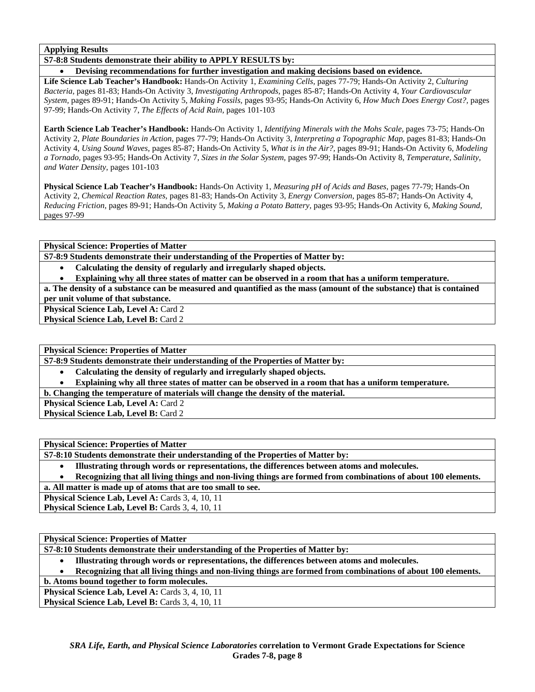**Applying Results** 

**S7-8:8 Students demonstrate their ability to APPLY RESULTS by:** 

• **Devising recommendations for further investigation and making decisions based on evidence.** 

**Life Science Lab Teacher's Handbook:** Hands-On Activity 1, *Examining Cells,* pages 77-79; Hands-On Activity 2, *Culturing Bacteria,* pages 81-83; Hands-On Activity 3, *Investigating Arthropods,* pages 85-87; Hands-On Activity 4, *Your Cardiovascular System,* pages 89-91; Hands-On Activity 5, *Making Fossils,* pages 93-95; Hands-On Activity 6, *How Much Does Energy Cost?,* pages 97-99; Hands-On Activity 7, *The Effects of Acid Rain,* pages 101-103

**Earth Science Lab Teacher's Handbook:** Hands-On Activity 1, *Identifying Minerals with the Mohs Scale,* pages 73-75; Hands-On Activity 2, *Plate Boundaries in Action,* pages 77-79; Hands-On Activity 3, *Interpreting a Topographic Map,* pages 81-83; Hands-On Activity 4, *Using Sound Waves,* pages 85-87; Hands-On Activity 5, *What is in the Air?,* pages 89-91; Hands-On Activity 6, *Modeling a Tornado,* pages 93-95; Hands-On Activity 7, *Sizes in the Solar System,* pages 97-99; Hands-On Activity 8, *Temperature, Salinity, and Water Density,* pages 101-103

**Physical Science Lab Teacher's Handbook:** Hands-On Activity 1, *Measuring pH of Acids and Bases,* pages 77-79; Hands-On Activity 2, *Chemical Reaction Rates,* pages 81-83; Hands-On Activity 3, *Energy Conversion,* pages 85-87; Hands-On Activity 4, *Reducing Friction,* pages 89-91; Hands-On Activity 5, *Making a Potato Battery,* pages 93-95; Hands-On Activity 6, *Making Sound,* pages 97-99

**Physical Science: Properties of Matter** 

**S7-8:9 Students demonstrate their understanding of the Properties of Matter by:** 

• **Calculating the density of regularly and irregularly shaped objects.** 

• **Explaining why all three states of matter can be observed in a room that has a uniform temperature.** 

**a. The density of a substance can be measured and quantified as the mass (amount of the substance) that is contained per unit volume of that substance.** 

**Physical Science Lab, Level A: Card 2** 

**Physical Science Lab, Level B: Card 2** 

**Physical Science: Properties of Matter** 

**S7-8:9 Students demonstrate their understanding of the Properties of Matter by:** 

- **Calculating the density of regularly and irregularly shaped objects.**
- **Explaining why all three states of matter can be observed in a room that has a uniform temperature.**

**b. Changing the temperature of materials will change the density of the material.** 

**Physical Science Lab, Level A: Card 2** 

**Physical Science Lab, Level B: Card 2** 

**Physical Science: Properties of Matter** 

**S7-8:10 Students demonstrate their understanding of the Properties of Matter by:** 

- **Illustrating through words or representations, the differences between atoms and molecules.**
- **Recognizing that all living things and non-living things are formed from combinations of about 100 elements.**

**a. All matter is made up of atoms that are too small to see.** 

Physical Science Lab, Level A: Cards 3, 4, 10, 11

Physical Science Lab, Level B: Cards 3, 4, 10, 11

**Physical Science: Properties of Matter** 

**S7-8:10 Students demonstrate their understanding of the Properties of Matter by:** 

- **Illustrating through words or representations, the differences between atoms and molecules.**
- **Recognizing that all living things and non-living things are formed from combinations of about 100 elements.**

**b. Atoms bound together to form molecules.** 

Physical Science Lab, Level A: Cards 3, 4, 10, 11 **Physical Science Lab, Level B: Cards 3, 4, 10, 11**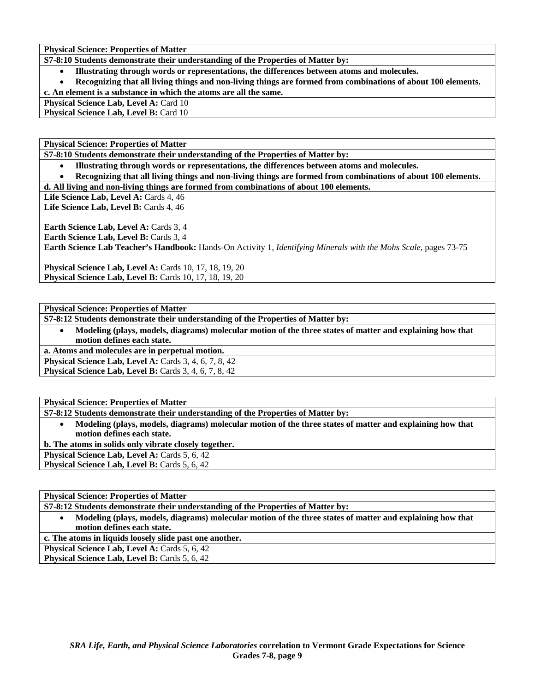**S7-8:10 Students demonstrate their understanding of the Properties of Matter by:** 

• **Illustrating through words or representations, the differences between atoms and molecules.** 

• **Recognizing that all living things and non-living things are formed from combinations of about 100 elements.** 

**c. An element is a substance in which the atoms are all the same.** 

**Physical Science Lab, Level A: Card 10** 

**Physical Science Lab, Level B: Card 10** 

**Physical Science: Properties of Matter** 

**S7-8:10 Students demonstrate their understanding of the Properties of Matter by:** 

• **Illustrating through words or representations, the differences between atoms and molecules.** 

• **Recognizing that all living things and non-living things are formed from combinations of about 100 elements.** 

**d. All living and non-living things are formed from combinations of about 100 elements.** 

Life Science Lab, Level A: Cards 4, 46

Life Science Lab, Level B: Cards 4, 46

**Earth Science Lab, Level A: Cards 3, 4 Earth Science Lab, Level B: Cards 3, 4 Earth Science Lab Teacher's Handbook:** Hands-On Activity 1, *Identifying Minerals with the Mohs Scale,* pages 73-75

**Physical Science Lab, Level A: Cards 10, 17, 18, 19, 20 Physical Science Lab, Level B:** Cards 10, 17, 18, 19, 20

**Physical Science: Properties of Matter** 

**S7-8:12 Students demonstrate their understanding of the Properties of Matter by:** 

• **Modeling (plays, models, diagrams) molecular motion of the three states of matter and explaining how that motion defines each state.** 

**a. Atoms and molecules are in perpetual motion. Physical Science Lab, Level A: Cards 3, 4, 6, 7, 8, 42 Physical Science Lab, Level B:** Cards 3, 4, 6, 7, 8, 42

**Physical Science: Properties of Matter** 

**S7-8:12 Students demonstrate their understanding of the Properties of Matter by:** 

• **Modeling (plays, models, diagrams) molecular motion of the three states of matter and explaining how that motion defines each state.** 

**b. The atoms in solids only vibrate closely together.** 

**Physical Science Lab, Level A: Cards 5, 6, 42** 

**Physical Science Lab, Level B: Cards 5, 6, 42** 

**Physical Science: Properties of Matter** 

**S7-8:12 Students demonstrate their understanding of the Properties of Matter by:** 

• **Modeling (plays, models, diagrams) molecular motion of the three states of matter and explaining how that motion defines each state.** 

**c. The atoms in liquids loosely slide past one another.** 

Physical Science Lab, Level A: Cards 5, 6, 42

**Physical Science Lab, Level B: Cards 5, 6, 42**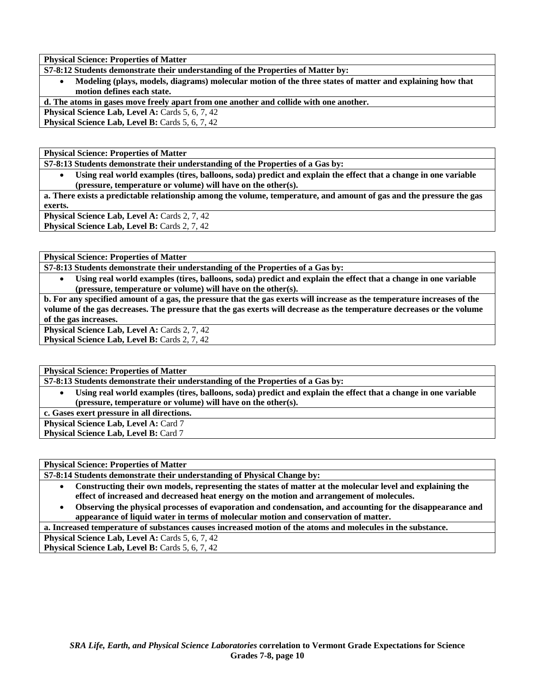**S7-8:12 Students demonstrate their understanding of the Properties of Matter by:** 

• **Modeling (plays, models, diagrams) molecular motion of the three states of matter and explaining how that motion defines each state.** 

**d. The atoms in gases move freely apart from one another and collide with one another.** 

Physical Science Lab, Level A: Cards 5, 6, 7, 42

**Physical Science Lab, Level B: Cards 5, 6, 7, 42** 

**Physical Science: Properties of Matter** 

**S7-8:13 Students demonstrate their understanding of the Properties of a Gas by:** 

• **Using real world examples (tires, balloons, soda) predict and explain the effect that a change in one variable (pressure, temperature or volume) will have on the other(s).** 

**a. There exists a predictable relationship among the volume, temperature, and amount of gas and the pressure the gas exerts.** 

Physical Science Lab, Level A: Cards 2, 7, 42 Physical Science Lab, Level B: Cards 2, 7, 42

**Physical Science: Properties of Matter** 

**S7-8:13 Students demonstrate their understanding of the Properties of a Gas by:** 

• **Using real world examples (tires, balloons, soda) predict and explain the effect that a change in one variable (pressure, temperature or volume) will have on the other(s).** 

**b. For any specified amount of a gas, the pressure that the gas exerts will increase as the temperature increases of the volume of the gas decreases. The pressure that the gas exerts will decrease as the temperature decreases or the volume of the gas increases.** 

**Physical Science Lab, Level A: Cards 2, 7, 42 Physical Science Lab, Level B: Cards 2, 7, 42** 

**Physical Science: Properties of Matter** 

**S7-8:13 Students demonstrate their understanding of the Properties of a Gas by:** 

• **Using real world examples (tires, balloons, soda) predict and explain the effect that a change in one variable (pressure, temperature or volume) will have on the other(s).** 

**c. Gases exert pressure in all directions.** 

**Physical Science Lab, Level A: Card 7** 

**Physical Science Lab, Level B: Card 7** 

| <b>Physical Science: Properties of Matter</b>                                                             |
|-----------------------------------------------------------------------------------------------------------|
| S7-8:14 Students demonstrate their understanding of Physical Change by:                                   |
| Constructing their own models, representing the states of matter at the molecular level and evolution the |

- **Constructing their own models, representing the states of matter at the molecular level and explaining the effect of increased and decreased heat energy on the motion and arrangement of molecules.**
- **Observing the physical processes of evaporation and condensation, and accounting for the disappearance and appearance of liquid water in terms of molecular motion and conservation of matter.**

**a. Increased temperature of substances causes increased motion of the atoms and molecules in the substance.** 

**Physical Science Lab, Level A: Cards 5, 6, 7, 42** 

Physical Science Lab, Level B: Cards 5, 6, 7, 42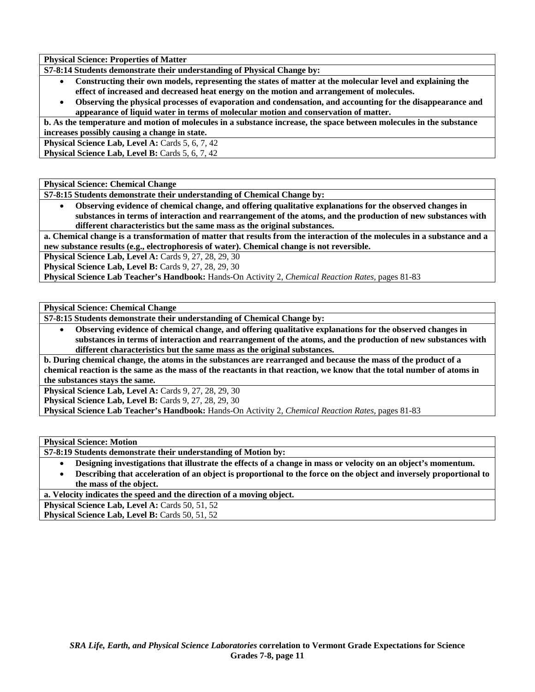**S7-8:14 Students demonstrate their understanding of Physical Change by:** 

- **Constructing their own models, representing the states of matter at the molecular level and explaining the effect of increased and decreased heat energy on the motion and arrangement of molecules.**
- **Observing the physical processes of evaporation and condensation, and accounting for the disappearance and appearance of liquid water in terms of molecular motion and conservation of matter.**

**b. As the temperature and motion of molecules in a substance increase, the space between molecules in the substance increases possibly causing a change in state.** 

**Physical Science Lab, Level A: Cards 5, 6, 7, 42** 

Physical Science Lab, Level B: Cards 5, 6, 7, 42

**Physical Science: Chemical Change** 

**S7-8:15 Students demonstrate their understanding of Chemical Change by:** 

• **Observing evidence of chemical change, and offering qualitative explanations for the observed changes in substances in terms of interaction and rearrangement of the atoms, and the production of new substances with different characteristics but the same mass as the original substances.** 

**a. Chemical change is a transformation of matter that results from the interaction of the molecules in a substance and a new substance results (e.g., electrophoresis of water). Chemical change is not reversible.** 

**Physical Science Lab, Level A: Cards 9, 27, 28, 29, 30** 

**Physical Science Lab, Level B:** Cards 9, 27, 28, 29, 30

**Physical Science Lab Teacher's Handbook:** Hands-On Activity 2, *Chemical Reaction Rates,* pages 81-83

**Physical Science: Chemical Change** 

**S7-8:15 Students demonstrate their understanding of Chemical Change by:** 

• **Observing evidence of chemical change, and offering qualitative explanations for the observed changes in substances in terms of interaction and rearrangement of the atoms, and the production of new substances with different characteristics but the same mass as the original substances.** 

**b. During chemical change, the atoms in the substances are rearranged and because the mass of the product of a chemical reaction is the same as the mass of the reactants in that reaction, we know that the total number of atoms in the substances stays the same.** 

**Physical Science Lab, Level A: Cards 9, 27, 28, 29, 30** 

**Physical Science Lab, Level B: Cards 9, 27, 28, 29, 30** 

**Physical Science Lab Teacher's Handbook:** Hands-On Activity 2, *Chemical Reaction Rates,* pages 81-83

**Physical Science: Motion** 

**S7-8:19 Students demonstrate their understanding of Motion by:** 

- **Designing investigations that illustrate the effects of a change in mass or velocity on an object's momentum.**
- **Describing that acceleration of an object is proportional to the force on the object and inversely proportional to the mass of the object.**

**a. Velocity indicates the speed and the direction of a moving object.** 

Physical Science Lab, Level A: Cards 50, 51, 52

Physical Science Lab, Level B: Cards 50, 51, 52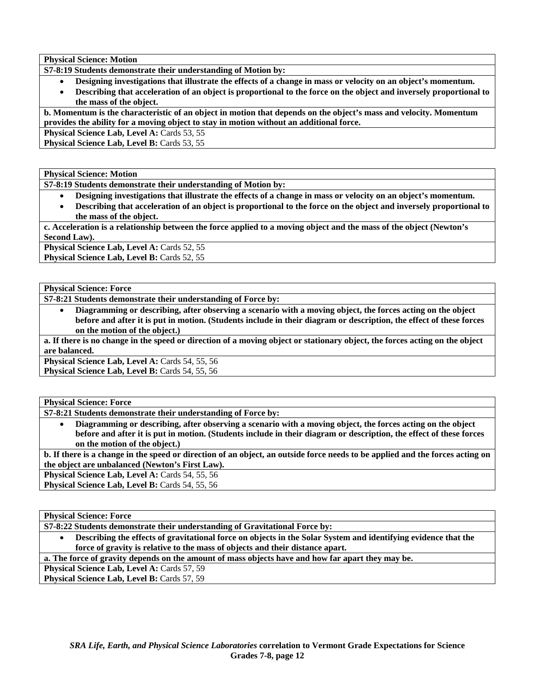**Physical Science: Motion** 

**S7-8:19 Students demonstrate their understanding of Motion by:** 

• **Designing investigations that illustrate the effects of a change in mass or velocity on an object's momentum.** 

• **Describing that acceleration of an object is proportional to the force on the object and inversely proportional to the mass of the object.** 

**b. Momentum is the characteristic of an object in motion that depends on the object's mass and velocity. Momentum provides the ability for a moving object to stay in motion without an additional force.** 

Physical Science Lab, Level A: Cards 53, 55

Physical Science Lab, Level B: Cards 53, 55

**Physical Science: Motion** 

**S7-8:19 Students demonstrate their understanding of Motion by:** 

- **Designing investigations that illustrate the effects of a change in mass or velocity on an object's momentum.**
- **Describing that acceleration of an object is proportional to the force on the object and inversely proportional to the mass of the object.**

**c. Acceleration is a relationship between the force applied to a moving object and the mass of the object (Newton's Second Law).** 

**Physical Science Lab, Level A: Cards 52, 55** 

**Physical Science Lab, Level B: Cards 52, 55** 

**Physical Science: Force** 

**S7-8:21 Students demonstrate their understanding of Force by:** 

• **Diagramming or describing, after observing a scenario with a moving object, the forces acting on the object before and after it is put in motion. (Students include in their diagram or description, the effect of these forces on the motion of the object.)** 

**a. If there is no change in the speed or direction of a moving object or stationary object, the forces acting on the object are balanced.** 

Physical Science Lab, Level A: Cards 54, 55, 56 **Physical Science Lab, Level B: Cards 54, 55, 56** 

**Physical Science: Force** 

**S7-8:21 Students demonstrate their understanding of Force by:** 

• **Diagramming or describing, after observing a scenario with a moving object, the forces acting on the object before and after it is put in motion. (Students include in their diagram or description, the effect of these forces on the motion of the object.)** 

**b. If there is a change in the speed or direction of an object, an outside force needs to be applied and the forces acting on the object are unbalanced (Newton's First Law).** 

Physical Science Lab, Level A: Cards 54, 55, 56

Physical Science Lab, Level B: Cards 54, 55, 56

**Physical Science: Force** 

**S7-8:22 Students demonstrate their understanding of Gravitational Force by:** 

• **Describing the effects of gravitational force on objects in the Solar System and identifying evidence that the force of gravity is relative to the mass of objects and their distance apart.** 

**a. The force of gravity depends on the amount of mass objects have and how far apart they may be.** 

Physical Science Lab, Level A: Cards 57, 59

**Physical Science Lab, Level B: Cards 57, 59**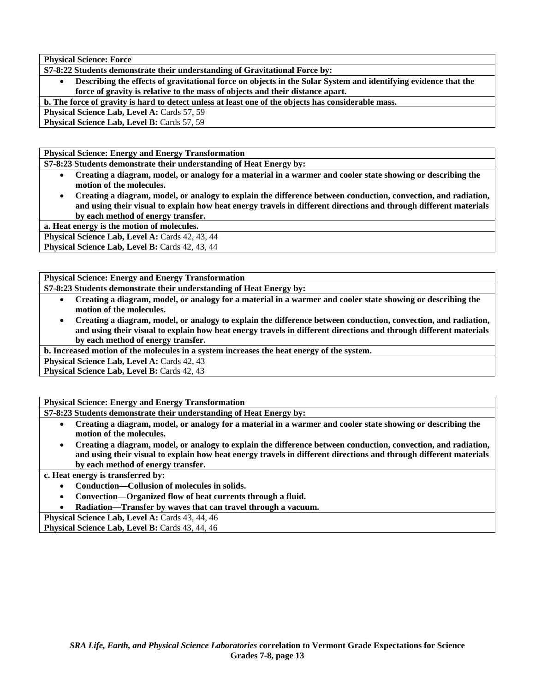**Physical Science: Force** 

**S7-8:22 Students demonstrate their understanding of Gravitational Force by:** 

• **Describing the effects of gravitational force on objects in the Solar System and identifying evidence that the force of gravity is relative to the mass of objects and their distance apart.** 

**b. The force of gravity is hard to detect unless at least one of the objects has considerable mass.** 

**Physical Science Lab, Level A: Cards 57, 59** 

**Physical Science Lab, Level B: Cards 57, 59** 

**Physical Science: Energy and Energy Transformation** 

**S7-8:23 Students demonstrate their understanding of Heat Energy by:** 

- **Creating a diagram, model, or analogy for a material in a warmer and cooler state showing or describing the motion of the molecules.**
- **Creating a diagram, model, or analogy to explain the difference between conduction, convection, and radiation, and using their visual to explain how heat energy travels in different directions and through different materials by each method of energy transfer.**

**a. Heat energy is the motion of molecules.** 

Physical Science Lab, Level A: Cards 42, 43, 44

**Physical Science Lab, Level B: Cards 42, 43, 44** 

**Physical Science: Energy and Energy Transformation** 

- **S7-8:23 Students demonstrate their understanding of Heat Energy by:** 
	- **Creating a diagram, model, or analogy for a material in a warmer and cooler state showing or describing the motion of the molecules.**
	- **Creating a diagram, model, or analogy to explain the difference between conduction, convection, and radiation, and using their visual to explain how heat energy travels in different directions and through different materials by each method of energy transfer.**

**b. Increased motion of the molecules in a system increases the heat energy of the system.** 

Physical Science Lab, Level A: Cards 42, 43

**Physical Science Lab, Level B: Cards 42, 43** 

**Physical Science: Energy and Energy Transformation** 

**S7-8:23 Students demonstrate their understanding of Heat Energy by:** 

- **Creating a diagram, model, or analogy for a material in a warmer and cooler state showing or describing the motion of the molecules.**
- **Creating a diagram, model, or analogy to explain the difference between conduction, convection, and radiation, and using their visual to explain how heat energy travels in different directions and through different materials by each method of energy transfer.**

## **c. Heat energy is transferred by:**

- **Conduction—Collusion of molecules in solids.**
- **Convection—Organized flow of heat currents through a fluid.**
- **Radiation—Transfer by waves that can travel through a vacuum.**

Physical Science Lab, Level A: Cards 43, 44, 46

Physical Science Lab, Level B: Cards 43, 44, 46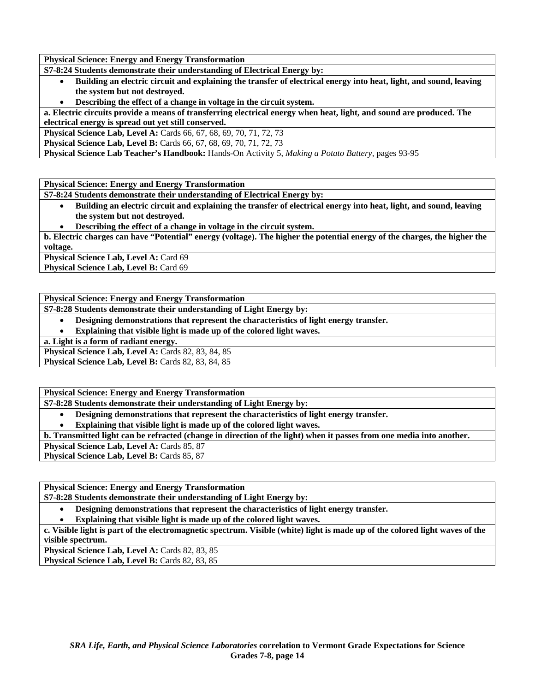**Physical Science: Energy and Energy Transformation** 

**S7-8:24 Students demonstrate their understanding of Electrical Energy by:** 

- **Building an electric circuit and explaining the transfer of electrical energy into heat, light, and sound, leaving the system but not destroyed.**
- **Describing the effect of a change in voltage in the circuit system.**

**a. Electric circuits provide a means of transferring electrical energy when heat, light, and sound are produced. The electrical energy is spread out yet still conserved.** 

**Physical Science Lab, Level A:** Cards 66, 67, 68, 69, 70, 71, 72, 73

**Physical Science Lab, Level B:** Cards 66, 67, 68, 69, 70, 71, 72, 73

**Physical Science Lab Teacher's Handbook:** Hands-On Activity 5, *Making a Potato Battery,* pages 93-95

**Physical Science: Energy and Energy Transformation** 

**S7-8:24 Students demonstrate their understanding of Electrical Energy by:** 

• **Building an electric circuit and explaining the transfer of electrical energy into heat, light, and sound, leaving the system but not destroyed.** 

• **Describing the effect of a change in voltage in the circuit system.** 

**b. Electric charges can have "Potential" energy (voltage). The higher the potential energy of the charges, the higher the voltage.** 

Physical Science Lab, Level A: Card 69

**Physical Science Lab, Level B: Card 69** 

**Physical Science: Energy and Energy Transformation** 

**S7-8:28 Students demonstrate their understanding of Light Energy by:** 

• **Designing demonstrations that represent the characteristics of light energy transfer.** 

• **Explaining that visible light is made up of the colored light waves.** 

**a. Light is a form of radiant energy.** 

**Physical Science Lab, Level A: Cards 82, 83, 84, 85** 

**Physical Science Lab, Level B: Cards 82, 83, 84, 85** 

**Physical Science: Energy and Energy Transformation** 

**S7-8:28 Students demonstrate their understanding of Light Energy by:** 

• **Designing demonstrations that represent the characteristics of light energy transfer.** 

• **Explaining that visible light is made up of the colored light waves.** 

**b. Transmitted light can be refracted (change in direction of the light) when it passes from one media into another.** 

Physical Science Lab, Level A: Cards 85, 87

Physical Science Lab, Level B: Cards 85, 87

**Physical Science: Energy and Energy Transformation S7-8:28 Students demonstrate their understanding of Light Energy by:** 

• **Designing demonstrations that represent the characteristics of light energy transfer.** 

• **Explaining that visible light is made up of the colored light waves.** 

**c. Visible light is part of the electromagnetic spectrum. Visible (white) light is made up of the colored light waves of the visible spectrum.** 

Physical Science Lab, Level A: Cards 82, 83, 85

**Physical Science Lab, Level B: Cards 82, 83, 85**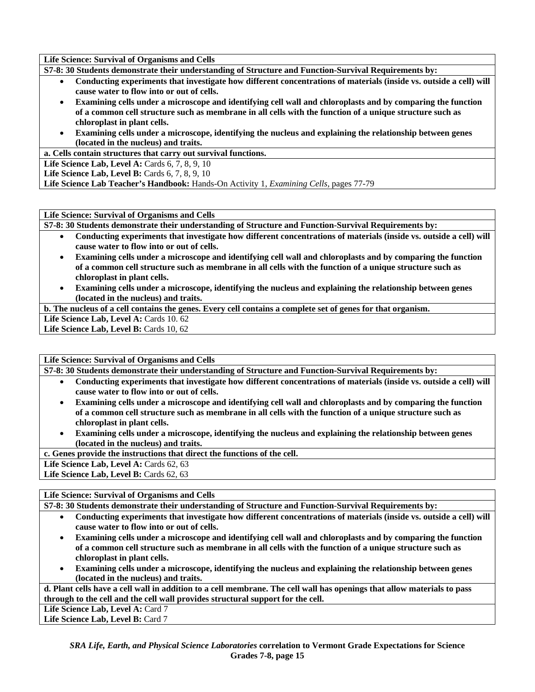**Life Science: Survival of Organisms and Cells** 

**S7-8: 30 Students demonstrate their understanding of Structure and Function-Survival Requirements by:** 

- **Conducting experiments that investigate how different concentrations of materials (inside vs. outside a cell) will cause water to flow into or out of cells.**
- **Examining cells under a microscope and identifying cell wall and chloroplasts and by comparing the function of a common cell structure such as membrane in all cells with the function of a unique structure such as chloroplast in plant cells.**
- **Examining cells under a microscope, identifying the nucleus and explaining the relationship between genes (located in the nucleus) and traits.**

**a. Cells contain structures that carry out survival functions.** 

**Life Science Lab, Level A: Cards 6, 7, 8, 9, 10** 

**Life Science Lab, Level B:** Cards 6, 7, 8, 9, 10

**Life Science Lab Teacher's Handbook:** Hands-On Activity 1, *Examining Cells,* pages 77-79

**Life Science: Survival of Organisms and Cells** 

**S7-8: 30 Students demonstrate their understanding of Structure and Function-Survival Requirements by:** 

- **Conducting experiments that investigate how different concentrations of materials (inside vs. outside a cell) will cause water to flow into or out of cells.**
- **Examining cells under a microscope and identifying cell wall and chloroplasts and by comparing the function of a common cell structure such as membrane in all cells with the function of a unique structure such as chloroplast in plant cells.**
- **Examining cells under a microscope, identifying the nucleus and explaining the relationship between genes (located in the nucleus) and traits.**

**b. The nucleus of a cell contains the genes. Every cell contains a complete set of genes for that organism.** 

Life Science Lab, Level A: Cards 10. 62 Life Science Lab, Level B: Cards 10, 62

**Life Science: Survival of Organisms and Cells** 

**S7-8: 30 Students demonstrate their understanding of Structure and Function-Survival Requirements by:** 

- **Conducting experiments that investigate how different concentrations of materials (inside vs. outside a cell) will cause water to flow into or out of cells.**
- **Examining cells under a microscope and identifying cell wall and chloroplasts and by comparing the function of a common cell structure such as membrane in all cells with the function of a unique structure such as chloroplast in plant cells.**
- **Examining cells under a microscope, identifying the nucleus and explaining the relationship between genes (located in the nucleus) and traits.**

**c. Genes provide the instructions that direct the functions of the cell.** 

Life Science Lab, Level A: Cards 62, 63

Life Science Lab, Level B: Cards 62, 63

**Life Science: Survival of Organisms and Cells** 

**S7-8: 30 Students demonstrate their understanding of Structure and Function-Survival Requirements by:** 

- **Conducting experiments that investigate how different concentrations of materials (inside vs. outside a cell) will cause water to flow into or out of cells.**
- **Examining cells under a microscope and identifying cell wall and chloroplasts and by comparing the function of a common cell structure such as membrane in all cells with the function of a unique structure such as chloroplast in plant cells.**
- **Examining cells under a microscope, identifying the nucleus and explaining the relationship between genes (located in the nucleus) and traits.**

**d. Plant cells have a cell wall in addition to a cell membrane. The cell wall has openings that allow materials to pass through to the cell and the cell wall provides structural support for the cell.** 

Life Science Lab, Level A: Card 7

Life Science Lab, Level B: Card 7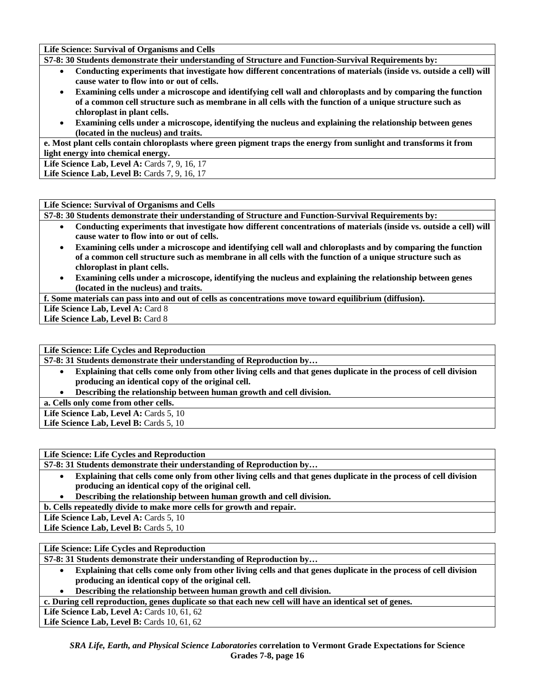**Life Science: Survival of Organisms and Cells** 

**S7-8: 30 Students demonstrate their understanding of Structure and Function-Survival Requirements by:** 

- **Conducting experiments that investigate how different concentrations of materials (inside vs. outside a cell) will cause water to flow into or out of cells.**
- **Examining cells under a microscope and identifying cell wall and chloroplasts and by comparing the function of a common cell structure such as membrane in all cells with the function of a unique structure such as chloroplast in plant cells.**
- **Examining cells under a microscope, identifying the nucleus and explaining the relationship between genes (located in the nucleus) and traits.**

**e. Most plant cells contain chloroplasts where green pigment traps the energy from sunlight and transforms it from light energy into chemical energy.** 

Life Science Lab, Level A: Cards 7, 9, 16, 17

**Life Science Lab, Level B: Cards 7, 9, 16, 17** 

#### **Life Science: Survival of Organisms and Cells**

**S7-8: 30 Students demonstrate their understanding of Structure and Function-Survival Requirements by:** 

- **Conducting experiments that investigate how different concentrations of materials (inside vs. outside a cell) will cause water to flow into or out of cells.**
- **Examining cells under a microscope and identifying cell wall and chloroplasts and by comparing the function of a common cell structure such as membrane in all cells with the function of a unique structure such as chloroplast in plant cells.**
- **Examining cells under a microscope, identifying the nucleus and explaining the relationship between genes (located in the nucleus) and traits.**

**f. Some materials can pass into and out of cells as concentrations move toward equilibrium (diffusion).** 

Life Science Lab, Level A: Card 8

**Life Science Lab, Level B: Card 8** 

#### **Life Science: Life Cycles and Reproduction**

**S7-8: 31 Students demonstrate their understanding of Reproduction by…** 

- **Explaining that cells come only from other living cells and that genes duplicate in the process of cell division producing an identical copy of the original cell.**
- **Describing the relationship between human growth and cell division.**

**a. Cells only come from other cells.** 

Life Science Lab, Level A: Cards 5, 10

Life Science Lab, Level B: Cards 5, 10

**Life Science: Life Cycles and Reproduction** 

**S7-8: 31 Students demonstrate their understanding of Reproduction by…** 

- **Explaining that cells come only from other living cells and that genes duplicate in the process of cell division producing an identical copy of the original cell.**
- **Describing the relationship between human growth and cell division.**

**b. Cells repeatedly divide to make more cells for growth and repair.** 

Life Science Lab, Level A: Cards 5, 10

Life Science Lab, Level B: Cards 5, 10

## **Life Science: Life Cycles and Reproduction**

**S7-8: 31 Students demonstrate their understanding of Reproduction by…** 

• **Explaining that cells come only from other living cells and that genes duplicate in the process of cell division producing an identical copy of the original cell.** 

• **Describing the relationship between human growth and cell division.** 

**c. During cell reproduction, genes duplicate so that each new cell will have an identical set of genes.** 

**Life Science Lab, Level A: Cards 10, 61, 62** 

**Life Science Lab, Level B:** Cards 10, 61, 62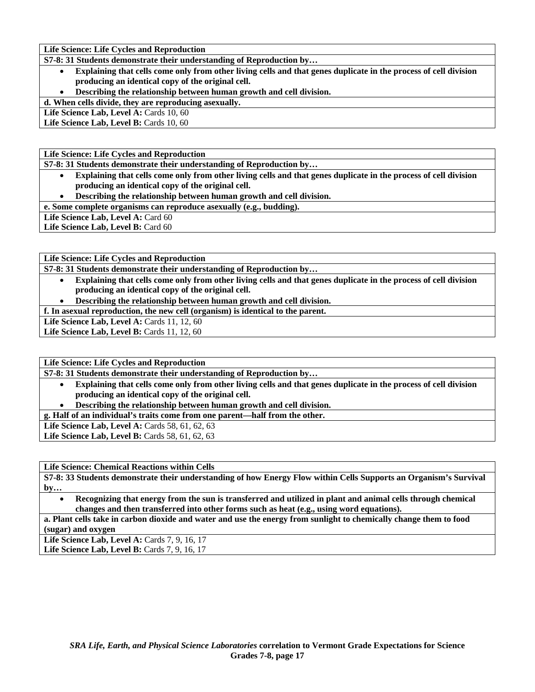**Life Science: Life Cycles and Reproduction** 

**S7-8: 31 Students demonstrate their understanding of Reproduction by…** 

- **Explaining that cells come only from other living cells and that genes duplicate in the process of cell division producing an identical copy of the original cell.**
- **Describing the relationship between human growth and cell division.**

**d. When cells divide, they are reproducing asexually.** 

Life Science Lab, Level A: Cards 10, 60

Life Science Lab, Level B: Cards 10, 60

**Life Science: Life Cycles and Reproduction** 

**S7-8: 31 Students demonstrate their understanding of Reproduction by…** 

- **Explaining that cells come only from other living cells and that genes duplicate in the process of cell division producing an identical copy of the original cell.**
- **Describing the relationship between human growth and cell division.**

**e. Some complete organisms can reproduce asexually (e.g., budding).** 

Life Science Lab, Level A: Card 60

Life Science Lab, Level B: Card 60

**Life Science: Life Cycles and Reproduction** 

**S7-8: 31 Students demonstrate their understanding of Reproduction by…** 

• **Explaining that cells come only from other living cells and that genes duplicate in the process of cell division producing an identical copy of the original cell.** 

• **Describing the relationship between human growth and cell division.** 

**f. In asexual reproduction, the new cell (organism) is identical to the parent.** 

**Life Science Lab, Level A: Cards 11, 12, 60** 

**Life Science Lab, Level B:** Cards 11, 12, 60

**Life Science: Life Cycles and Reproduction** 

**S7-8: 31 Students demonstrate their understanding of Reproduction by…** 

- **Explaining that cells come only from other living cells and that genes duplicate in the process of cell division producing an identical copy of the original cell.**
- **Describing the relationship between human growth and cell division.**

**g. Half of an individual's traits come from one parent—half from the other.** 

Life Science Lab, Level A: Cards 58, 61, 62, 63

**Life Science Lab, Level B:** Cards 58, 61, 62, 63

**Life Science: Chemical Reactions within Cells** 

**S7-8: 33 Students demonstrate their understanding of how Energy Flow within Cells Supports an Organism's Survival by…** 

• **Recognizing that energy from the sun is transferred and utilized in plant and animal cells through chemical changes and then transferred into other forms such as heat (e.g., using word equations).** 

**a. Plant cells take in carbon dioxide and water and use the energy from sunlight to chemically change them to food (sugar) and oxygen** 

**Life Science Lab, Level A:** Cards 7, 9, 16, 17 **Life Science Lab, Level B: Cards 7, 9, 16, 17**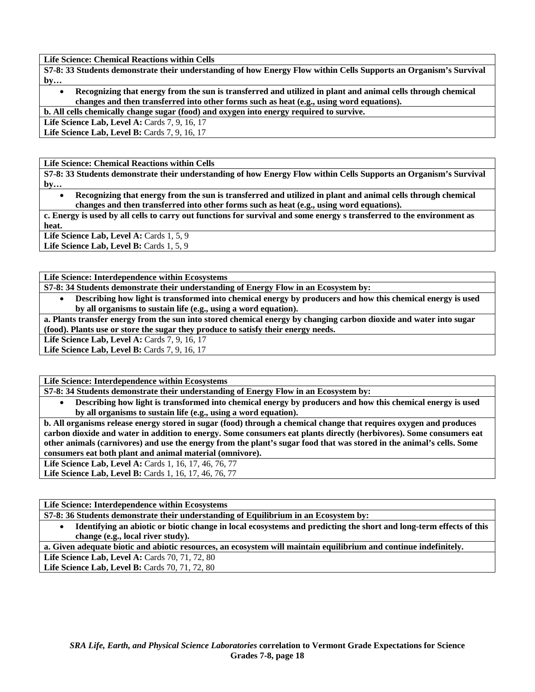**Life Science: Chemical Reactions within Cells** 

**S7-8: 33 Students demonstrate their understanding of how Energy Flow within Cells Supports an Organism's Survival by…** 

• **Recognizing that energy from the sun is transferred and utilized in plant and animal cells through chemical changes and then transferred into other forms such as heat (e.g., using word equations).** 

**b. All cells chemically change sugar (food) and oxygen into energy required to survive.** 

**Life Science Lab, Level A:** Cards 7, 9, 16, 17

**Life Science Lab, Level B:** Cards 7, 9, 16, 17

**Life Science: Chemical Reactions within Cells** 

**S7-8: 33 Students demonstrate their understanding of how Energy Flow within Cells Supports an Organism's Survival by…** 

• **Recognizing that energy from the sun is transferred and utilized in plant and animal cells through chemical changes and then transferred into other forms such as heat (e.g., using word equations).** 

**c. Energy is used by all cells to carry out functions for survival and some energy s transferred to the environment as heat.** 

Life Science Lab, Level A: Cards 1, 5, 9

Life Science Lab, Level B: Cards 1, 5, 9

**Life Science: Interdependence within Ecosystems** 

- **S7-8: 34 Students demonstrate their understanding of Energy Flow in an Ecosystem by:** 
	- **Describing how light is transformed into chemical energy by producers and how this chemical energy is used by all organisms to sustain life (e.g., using a word equation).**

**a. Plants transfer energy from the sun into stored chemical energy by changing carbon dioxide and water into sugar (food). Plants use or store the sugar they produce to satisfy their energy needs.** 

Life Science Lab, Level A: Cards 7, 9, 16, 17

Life Science Lab, Level B: Cards 7, 9, 16, 17

**Life Science: Interdependence within Ecosystems** 

**S7-8: 34 Students demonstrate their understanding of Energy Flow in an Ecosystem by:** 

• **Describing how light is transformed into chemical energy by producers and how this chemical energy is used by all organisms to sustain life (e.g., using a word equation).** 

**b. All organisms release energy stored in sugar (food) through a chemical change that requires oxygen and produces carbon dioxide and water in addition to energy. Some consumers eat plants directly (herbivores). Some consumers eat other animals (carnivores) and use the energy from the plant's sugar food that was stored in the animal's cells. Some consumers eat both plant and animal material (omnivore).** 

**Life Science Lab, Level A: Cards 1, 16, 17, 46, 76, 77** 

Life Science Lab, Level B: Cards 1, 16, 17, 46, 76, 77

**Life Science: Interdependence within Ecosystems** 

**S7-8: 36 Students demonstrate their understanding of Equilibrium in an Ecosystem by:** 

• **Identifying an abiotic or biotic change in local ecosystems and predicting the short and long-term effects of this change (e.g., local river study).** 

**a. Given adequate biotic and abiotic resources, an ecosystem will maintain equilibrium and continue indefinitely.** 

Life Science Lab, Level A: Cards 70, 71, 72, 80 Life Science Lab, Level B: Cards 70, 71, 72, 80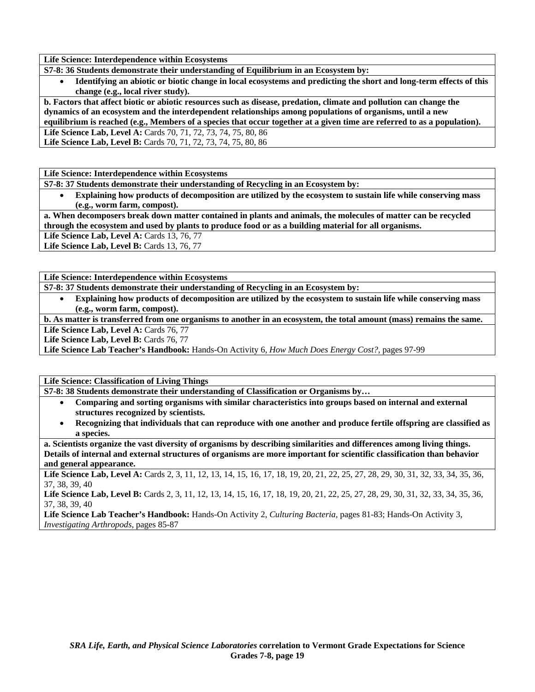**Life Science: Interdependence within Ecosystems** 

**S7-8: 36 Students demonstrate their understanding of Equilibrium in an Ecosystem by:** 

• **Identifying an abiotic or biotic change in local ecosystems and predicting the short and long-term effects of this change (e.g., local river study).** 

**b. Factors that affect biotic or abiotic resources such as disease, predation, climate and pollution can change the dynamics of an ecosystem and the interdependent relationships among populations of organisms, until a new** 

**equilibrium is reached (e.g., Members of a species that occur together at a given time are referred to as a population). Life Science Lab, Level A:** Cards 70, 71, 72, 73, 74, 75, 80, 86

**Life Science Lab, Level B:** Cards 70, 71, 72, 73, 74, 75, 80, 86

**Life Science: Interdependence within Ecosystems** 

**S7-8: 37 Students demonstrate their understanding of Recycling in an Ecosystem by:** 

• **Explaining how products of decomposition are utilized by the ecosystem to sustain life while conserving mass (e.g., worm farm, compost).** 

**a. When decomposers break down matter contained in plants and animals, the molecules of matter can be recycled through the ecosystem and used by plants to produce food or as a building material for all organisms.** 

Life Science Lab, Level A: Cards 13, 76, 77

**Life Science Lab, Level B: Cards 13, 76, 77** 

**Life Science: Interdependence within Ecosystems** 

**S7-8: 37 Students demonstrate their understanding of Recycling in an Ecosystem by:** 

• **Explaining how products of decomposition are utilized by the ecosystem to sustain life while conserving mass (e.g., worm farm, compost).** 

**b. As matter is transferred from one organisms to another in an ecosystem, the total amount (mass) remains the same.** 

Life Science Lab, Level A: Cards 76, 77

Life Science Lab, Level B: Cards 76, 77

**Life Science Lab Teacher's Handbook:** Hands-On Activity 6, *How Much Does Energy Cost?,* pages 97-99

**Life Science: Classification of Living Things** 

**S7-8: 38 Students demonstrate their understanding of Classification or Organisms by…** 

- **Comparing and sorting organisms with similar characteristics into groups based on internal and external structures recognized by scientists.**
- **Recognizing that individuals that can reproduce with one another and produce fertile offspring are classified as a species.**

**a. Scientists organize the vast diversity of organisms by describing similarities and differences among living things. Details of internal and external structures of organisms are more important for scientific classification than behavior and general appearance.** 

Life Science Lab, Level A: Cards 2, 3, 11, 12, 13, 14, 15, 16, 17, 18, 19, 20, 21, 22, 25, 27, 28, 29, 30, 31, 32, 33, 34, 35, 36, 37, 38, 39, 40

Life Science Lab, Level B: Cards 2, 3, 11, 12, 13, 14, 15, 16, 17, 18, 19, 20, 21, 22, 25, 27, 28, 29, 30, 31, 32, 33, 34, 35, 36, 37, 38, 39, 40

**Life Science Lab Teacher's Handbook:** Hands-On Activity 2, *Culturing Bacteria,* pages 81-83; Hands-On Activity 3, *Investigating Arthropods,* pages 85-87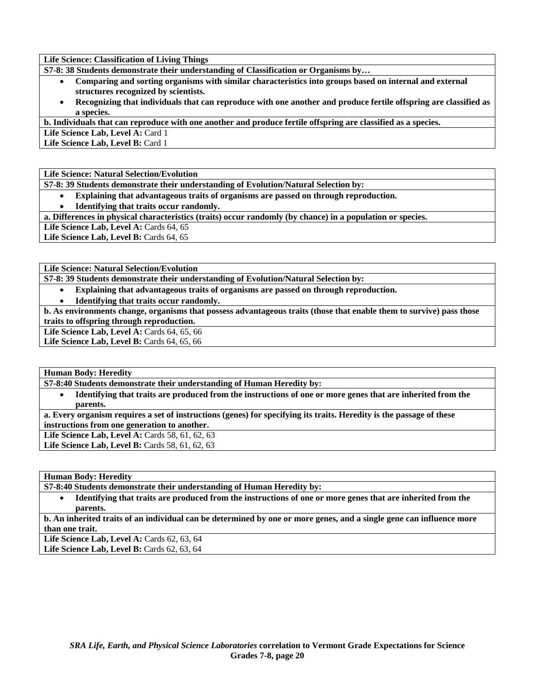**Life Science: Classification of Living Things** 

**S7-8: 38 Students demonstrate their understanding of Classification or Organisms by…** 

- **Comparing and sorting organisms with similar characteristics into groups based on internal and external structures recognized by scientists.**
- **Recognizing that individuals that can reproduce with one another and produce fertile offspring are classified as a species.**

**b. Individuals that can reproduce with one another and produce fertile offspring are classified as a species.** 

Life Science Lab, Level A: Card 1

Life Science Lab, Level B: Card 1

**Life Science: Natural Selection/Evolution** 

**S7-8: 39 Students demonstrate their understanding of Evolution/Natural Selection by:** 

- **Explaining that advantageous traits of organisms are passed on through reproduction.**
- **Identifying that traits occur randomly.**

**a. Differences in physical characteristics (traits) occur randomly (by chance) in a population or species.** 

Life Science Lab, Level A: Cards 64, 65

**Life Science Lab, Level B: Cards 64, 65** 

**Life Science: Natural Selection/Evolution** 

**S7-8: 39 Students demonstrate their understanding of Evolution/Natural Selection by:** 

- **Explaining that advantageous traits of organisms are passed on through reproduction.**
- **Identifying that traits occur randomly.**

**b. As environments change, organisms that possess advantageous traits (those that enable them to survive) pass those traits to offspring through reproduction.** 

**Life Science Lab, Level A:** Cards 64, 65, 66

Life Science Lab, Level B: Cards 64, 65, 66

**Human Body: Heredity** 

**S7-8:40 Students demonstrate their understanding of Human Heredity by:** 

• **Identifying that traits are produced from the instructions of one or more genes that are inherited from the parents.** 

**a. Every organism requires a set of instructions (genes) for specifying its traits. Heredity is the passage of these instructions from one generation to another.** 

Life Science Lab, Level A: Cards 58, 61, 62, 63

Life Science Lab, Level B: Cards 58, 61, 62, 63

**Human Body: Heredity** 

**S7-8:40 Students demonstrate their understanding of Human Heredity by:** 

• **Identifying that traits are produced from the instructions of one or more genes that are inherited from the parents.** 

**b. An inherited traits of an individual can be determined by one or more genes, and a single gene can influence more than one trait.** 

Life Science Lab, Level A: Cards 62, 63, 64

**Life Science Lab, Level B: Cards 62, 63, 64**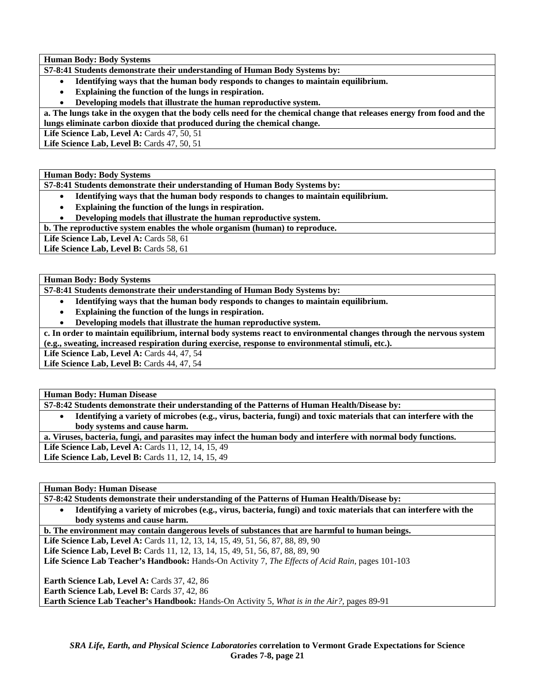**Human Body: Body Systems** 

**S7-8:41 Students demonstrate their understanding of Human Body Systems by:** 

- **Identifying ways that the human body responds to changes to maintain equilibrium.**
- **Explaining the function of the lungs in respiration.**
- **Developing models that illustrate the human reproductive system.**

**a. The lungs take in the oxygen that the body cells need for the chemical change that releases energy from food and the lungs eliminate carbon dioxide that produced during the chemical change.** 

Life Science Lab, Level A: Cards 47, 50, 51

**Life Science Lab, Level B: Cards 47, 50, 51** 

**Human Body: Body Systems** 

**S7-8:41 Students demonstrate their understanding of Human Body Systems by:** 

- **Identifying ways that the human body responds to changes to maintain equilibrium.**
- **Explaining the function of the lungs in respiration.**

• **Developing models that illustrate the human reproductive system.** 

**b. The reproductive system enables the whole organism (human) to reproduce.** 

Life Science Lab, Level A: Cards 58, 61

Life Science Lab, Level B: Cards 58, 61

**Human Body: Body Systems** 

**S7-8:41 Students demonstrate their understanding of Human Body Systems by:** 

- **Identifying ways that the human body responds to changes to maintain equilibrium.**
- **Explaining the function of the lungs in respiration.**
- **Developing models that illustrate the human reproductive system.**

**c. In order to maintain equilibrium, internal body systems react to environmental changes through the nervous system (e.g., sweating, increased respiration during exercise, response to environmental stimuli, etc.).** 

**Life Science Lab, Level A: Cards 44, 47, 54** 

**Life Science Lab, Level B:** Cards 44, 47, 54

**Human Body: Human Disease** 

**S7-8:42 Students demonstrate their understanding of the Patterns of Human Health/Disease by:** 

• **Identifying a variety of microbes (e.g., virus, bacteria, fungi) and toxic materials that can interfere with the body systems and cause harm.** 

**a. Viruses, bacteria, fungi, and parasites may infect the human body and interfere with normal body functions.** 

Life Science Lab, Level A: Cards 11, 12, 14, 15, 49

Life Science Lab, Level B: Cards 11, 12, 14, 15, 49

**Human Body: Human Disease** 

**S7-8:42 Students demonstrate their understanding of the Patterns of Human Health/Disease by:** 

• **Identifying a variety of microbes (e.g., virus, bacteria, fungi) and toxic materials that can interfere with the body systems and cause harm.** 

**b. The environment may contain dangerous levels of substances that are harmful to human beings.** 

Life Science Lab, Level A: Cards 11, 12, 13, 14, 15, 49, 51, 56, 87, 88, 89, 90

Life Science Lab, Level B: Cards 11, 12, 13, 14, 15, 49, 51, 56, 87, 88, 89, 90

**Life Science Lab Teacher's Handbook:** Hands-On Activity 7, *The Effects of Acid Rain,* pages 101-103

**Earth Science Lab, Level A: Cards 37, 42, 86** 

Earth Science Lab, Level B: Cards 37, 42, 86

**Earth Science Lab Teacher's Handbook:** Hands-On Activity 5, *What is in the Air?,* pages 89-91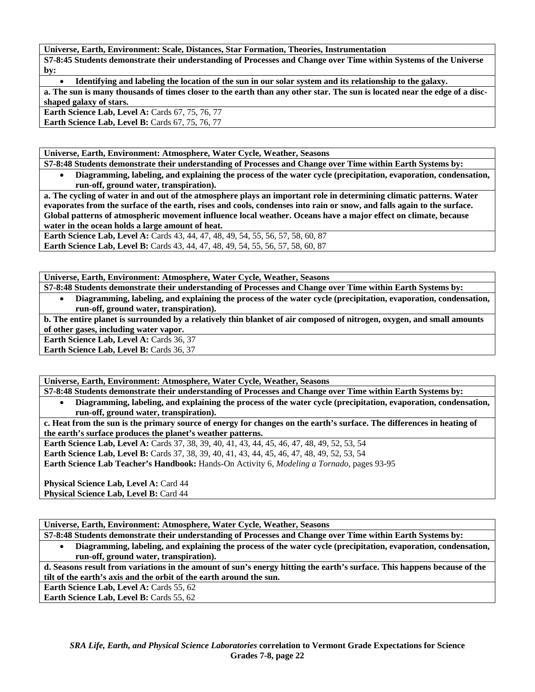**Universe, Earth, Environment: Scale, Distances, Star Formation, Theories, Instrumentation** 

**S7-8:45 Students demonstrate their understanding of Processes and Change over Time within Systems of the Universe by:** 

• **Identifying and labeling the location of the sun in our solar system and its relationship to the galaxy. a. The sun is many thousands of times closer to the earth than any other star. The sun is located near the edge of a discshaped galaxy of stars.** 

**Earth Science Lab, Level A: Cards 67, 75, 76, 77 Earth Science Lab, Level B: Cards 67, 75, 76, 77** 

**Universe, Earth, Environment: Atmosphere, Water Cycle, Weather, Seasons** 

**S7-8:48 Students demonstrate their understanding of Processes and Change over Time within Earth Systems by:** 

• **Diagramming, labeling, and explaining the process of the water cycle (precipitation, evaporation, condensation, run-off, ground water, transpiration).** 

**a. The cycling of water in and out of the atmosphere plays an important role in determining climatic patterns. Water evaporates from the surface of the earth, rises and cools, condenses into rain or snow, and falls again to the surface. Global patterns of atmospheric movement influence local weather. Oceans have a major effect on climate, because water in the ocean holds a large amount of heat.** 

Earth Science Lab, Level A: Cards 43, 44, 47, 48, 49, 54, 55, 56, 57, 58, 60, 87 **Earth Science Lab, Level B:** Cards 43, 44, 47, 48, 49, 54, 55, 56, 57, 58, 60, 87

**Universe, Earth, Environment: Atmosphere, Water Cycle, Weather, Seasons** 

**S7-8:48 Students demonstrate their understanding of Processes and Change over Time within Earth Systems by:** 

• **Diagramming, labeling, and explaining the process of the water cycle (precipitation, evaporation, condensation, run-off, ground water, transpiration).** 

**b. The entire planet is surrounded by a relatively thin blanket of air composed of nitrogen, oxygen, and small amounts of other gases, including water vapor.** 

**Earth Science Lab, Level A: Cards 36, 37** 

Earth Science Lab, Level B: Cards 36, 37

**Universe, Earth, Environment: Atmosphere, Water Cycle, Weather, Seasons** 

**S7-8:48 Students demonstrate their understanding of Processes and Change over Time within Earth Systems by:** 

• **Diagramming, labeling, and explaining the process of the water cycle (precipitation, evaporation, condensation, run-off, ground water, transpiration).** 

**c. Heat from the sun is the primary source of energy for changes on the earth's surface. The differences in heating of the earth's surface produces the planet's weather patterns.** 

**Earth Science Lab, Level A:** Cards 37, 38, 39, 40, 41, 43, 44, 45, 46, 47, 48, 49, 52, 53, 54 **Earth Science Lab, Level B:** Cards 37, 38, 39, 40, 41, 43, 44, 45, 46, 47, 48, 49, 52, 53, 54

**Earth Science Lab Teacher's Handbook:** Hands-On Activity 6, *Modeling a Tornado,* pages 93-95

**Physical Science Lab, Level A: Card 44 Physical Science Lab, Level B: Card 44** 

**Universe, Earth, Environment: Atmosphere, Water Cycle, Weather, Seasons** 

**S7-8:48 Students demonstrate their understanding of Processes and Change over Time within Earth Systems by:** 

• **Diagramming, labeling, and explaining the process of the water cycle (precipitation, evaporation, condensation, run-off, ground water, transpiration).** 

**d. Seasons result from variations in the amount of sun's energy hitting the earth's surface. This happens because of the tilt of the earth's axis and the orbit of the earth around the sun.** 

Earth Science Lab, Level A: Cards 55, 62

**Earth Science Lab, Level B: Cards 55, 62**